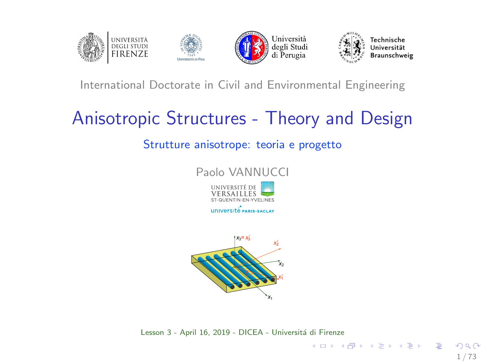<span id="page-0-0"></span>

#### International Doctorate in Civil and Environmental Engineering

# Anisotropic Structures - Theory and Design

#### Strutture anisotrope: teoria e progetto



**UNIVERSITÉ PARIS-SACLAY** 



Lesson 3 - April 16, 2019 - DICEA - Universitá di Firenze

1 / 73

B

イロト イ押 トイヨ トイヨ トー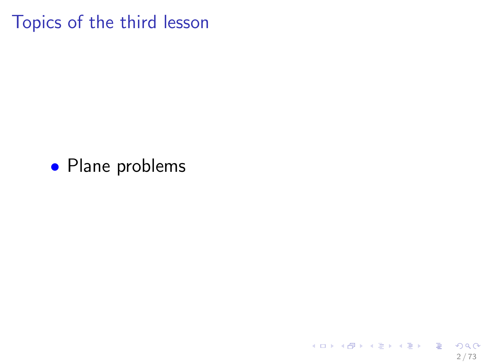Topics of the third lesson

## • Plane problems

イロメ イ団メ イモメ イモメー 毛  $2990$ 2 / 73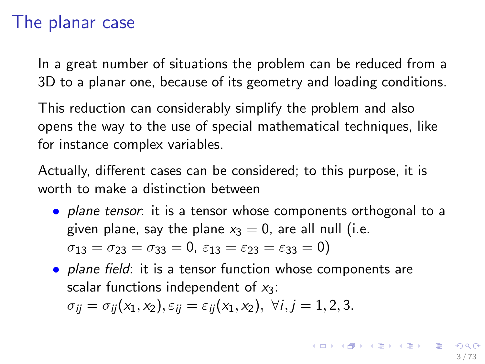## The planar case

In a great number of situations the problem can be reduced from a 3D to a planar one, because of its geometry and loading conditions.

This reduction can considerably simplify the problem and also opens the way to the use of special mathematical techniques, like for instance complex variables.

Actually, different cases can be considered; to this purpose, it is worth to make a distinction between

- *plane tensor*: it is a tensor whose components orthogonal to a given plane, say the plane  $x_3 = 0$ , are all null (i.e.  $\sigma_{13} = \sigma_{23} = \sigma_{33} = 0$ ,  $\varepsilon_{13} = \varepsilon_{23} = \varepsilon_{33} = 0$ )
- plane field: it is a tensor function whose components are scalar functions independent of  $x_3$ :  $\sigma_{ii} = \sigma_{ii}(x_1, x_2), \varepsilon_{ii} = \varepsilon_{ii}(x_1, x_2), \ \forall i, j = 1, 2, 3.$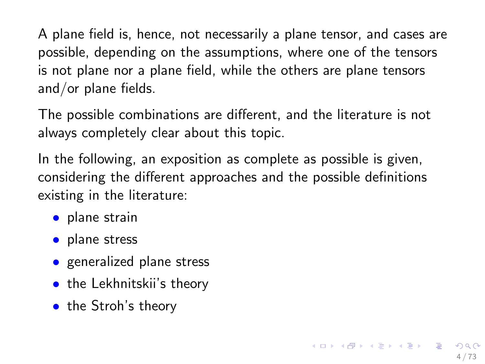A plane field is, hence, not necessarily a plane tensor, and cases are possible, depending on the assumptions, where one of the tensors is not plane nor a plane field, while the others are plane tensors and/or plane fields.

The possible combinations are different, and the literature is not always completely clear about this topic.

In the following, an exposition as complete as possible is given, considering the different approaches and the possible definitions existing in the literature:

4 / 73

- plane strain
- plane stress
- generalized plane stress
- the Lekhnitskii's theory
- the Stroh's theory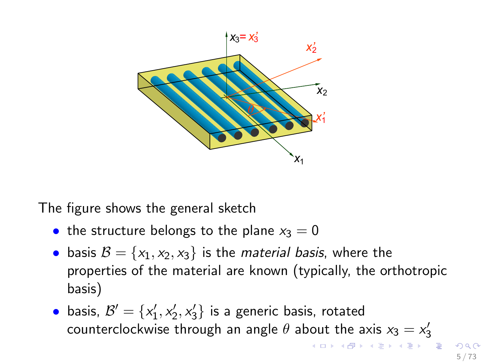

The figure shows the general sketch

- the structure belongs to the plane  $x_3 = 0$
- basis  $B = \{x_1, x_2, x_3\}$  is the *material basis*, where the properties of the material are known (typically, the orthotropic basis)
- basis,  $\mathcal{B}' = \{x'_1, x'_2, x'_3\}$  is a generic basis, rotated counterclockwise through an angle  $\theta$  about the axis  $x_3 = x'_3$  $x_3 = x'_3$  $x_3 = x'_3$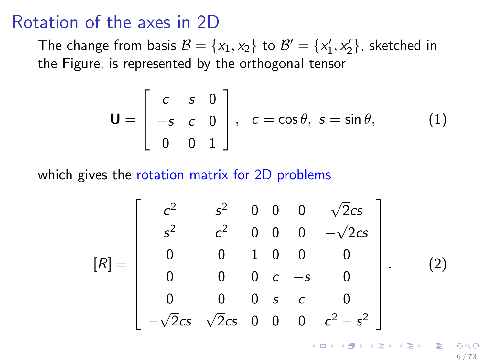## Rotation of the axes in 2D

The change from basis  $\mathcal{B} = \{x_1, x_2\}$  to  $\mathcal{B}' = \{x'_1, x'_2\}$ , sketched in the Figure, is represented by the orthogonal tensor

$$
\mathbf{U} = \begin{bmatrix} c & s & 0 \\ -s & c & 0 \\ 0 & 0 & 1 \end{bmatrix}, \quad c = \cos \theta, \ s = \sin \theta, \quad (1)
$$

which gives the rotation matrix for 2D problems

<span id="page-5-0"></span>
$$
[R] = \begin{bmatrix} c^2 & s^2 & 0 & 0 & 0 & \sqrt{2}cs \\ s^2 & c^2 & 0 & 0 & 0 & -\sqrt{2}cs \\ 0 & 0 & 1 & 0 & 0 & 0 \\ 0 & 0 & 0 & c & -s & 0 \\ 0 & 0 & 0 & s & c & 0 \\ -\sqrt{2}cs & \sqrt{2}cs & 0 & 0 & 0 & c^2 - s^2 \end{bmatrix}.
$$
 (2)

K ロ X K @ X K 할 X K 할 X ( 할 X 6 / 73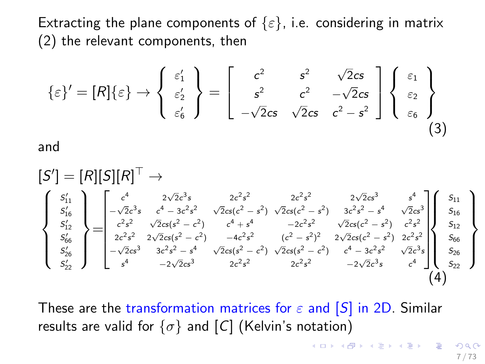Extracting the plane components of  $\{\varepsilon\}$ , i.e. considering in matrix [\(2\)](#page-5-0) the relevant components, then

$$
\{\varepsilon\}' = [R]\{\varepsilon\} \to \begin{Bmatrix} \varepsilon_1' \\ \varepsilon_2' \\ \varepsilon_6' \end{Bmatrix} = \begin{bmatrix} c^2 & s^2 & \sqrt{2}cs \\ s^2 & c^2 & -\sqrt{2}cs \\ -\sqrt{2}cs & \sqrt{2}cs & c^2 - s^2 \end{bmatrix} \begin{Bmatrix} \varepsilon_1 \\ \varepsilon_2 \\ \varepsilon_6 \end{Bmatrix}
$$
(3)

and

<span id="page-6-0"></span>
$$
\begin{bmatrix} S' \end{bmatrix} = [R][S][R]^{\top} \rightarrow
$$
\n
$$
\begin{Bmatrix} s'_{11} \\ s'_{16} \\ s'_{12} \\ s'_{66} \\ s'_{22} \end{Bmatrix} = \begin{bmatrix} c^4 & 2\sqrt{2}c^3s & 2c^2s^2 & 2c^2s^2 & 2\sqrt{2}cs^3 & s^4 \\ -\sqrt{2}c^3s & c^4 - 3c^2s^2 & \sqrt{2}cs(c^2 - s^2) & \sqrt{2}cs(c^2 - s^2) & 3c^2s^2 - s^4 & \sqrt{2}cs^3 \\ c^2s^2 & \sqrt{2}cs(s^2 - c^2) & c^4 + s^4 & -2c^2s^2 & \sqrt{2}cs(c^2 - s^2) & c^2s^2 \\ 2c^2s^2 & 2\sqrt{2}cs(s^2 - c^2) & -4c^2s^2 & (c^2 - s^2)^2 & 2\sqrt{2}cs(c^2 - s^2) & 2c^2s^2 \\ s'_{26} \\ s'_{22} \end{bmatrix} \begin{Bmatrix} s_{11} \\ s_{12} \\ s_{15} \\ s_{16} \\ s_{18} \\ s_{19} \\ s_{20} \\ s_{21} \end{Bmatrix}
$$

These are the transformation matrices for  $\varepsilon$  and  $[S]$  in 2D. Similar results are valid for  $\{\sigma\}$  and  $[C]$  (Kelvin's notation)

7 / 73

K ロンス 御 > ス 할 > ス 할 > ( ) 할 >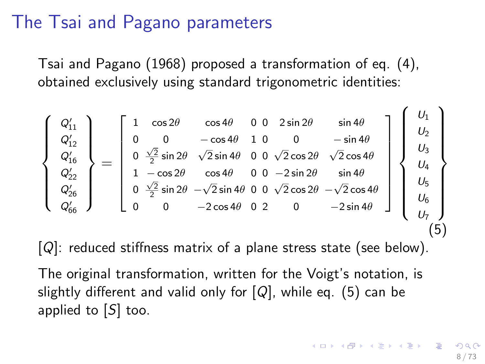# The Tsai and Pagano parameters

Tsai and Pagano (1968) proposed a transformation of eq. [\(4\)](#page-6-0), obtained exclusively using standard trigonometric identities:

<span id="page-7-0"></span> $\int$  $\int$  $\overline{\mathcal{L}}$  $Q'_{11}$ <br>  $Q'_{12}$ <br>  $Q'_{16}$ <br>  $Q'_{22}$ <br>  $Q'_{26}$ <br>  $Q'_{66}$  $\mathcal{L}$  $\vert$  $\int$ =  $\sqrt{ }$  $\begin{array}{c} \begin{array}{c} \begin{array}{c} \begin{array}{c} \end{array} \\ \begin{array}{c} \end{array} \end{array} \end{array} \end{array}$ 1 cos 2 $\theta$  cos 4 $\theta$  0 0 2 sin 2 $\theta$  sin 4 $\theta$ 0 0  $-\cos 4\theta$  1 0 0  $-\sin 4\theta$  $0 \frac{\sqrt{2}}{2} \sin 2\theta$   $\sqrt{2} \sin 4\theta$  0 0  $\sqrt{2} \cos 2\theta$   $\sqrt{2} \cos 4\theta$  $1 - \cos 2\theta$   $\cos 4\theta$  0 0  $-2 \sin 2\theta$  sin 4 $\theta$  $0 \frac{\sqrt{2}}{2}$  sin 2θ − $\sqrt{2}$  sin 4θ 0 0  $\sqrt{2}$  cos 2θ − $\sqrt{2}$  cos 4θ 0 0  $-2 \cos 4\theta$  0 2 0  $-2 \sin 4\theta$ 1  $\begin{array}{c} \begin{array}{c} \begin{array}{c} \begin{array}{c} \end{array} \\ \begin{array}{c} \end{array} \end{array} \end{array} \end{array}$  $\sqrt{ }$  $\int$  $\begin{array}{c} \end{array}$  $U_1$  $U_2$  $U_3$  $U_4$  $U_5$  $U_6$  $U_7$  $\mathcal{L}$  $\overline{\mathcal{L}}$  $\begin{array}{c} \end{array}$ (5)

 $[Q]$ : reduced stiffness matrix of a plane stress state (see below).

The original transformation, written for the Voigt's notation, is slightly different and valid only for  $[Q]$ , while eq. [\(5\)](#page-7-0) can be applied to [S] too.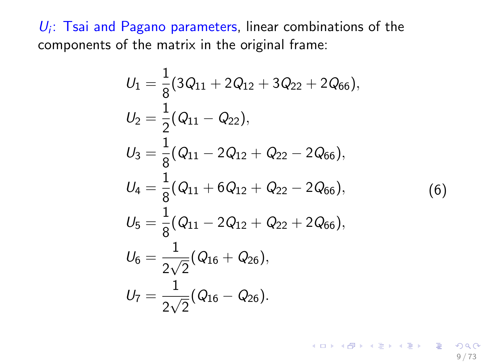$U_i$ : Tsai and Pagano parameters, linear combinations of the components of the matrix in the original frame:

$$
U_1 = \frac{1}{8}(3Q_{11} + 2Q_{12} + 3Q_{22} + 2Q_{66}),
$$
  
\n
$$
U_2 = \frac{1}{2}(Q_{11} - Q_{22}),
$$
  
\n
$$
U_3 = \frac{1}{8}(Q_{11} - 2Q_{12} + Q_{22} - 2Q_{66}),
$$
  
\n
$$
U_4 = \frac{1}{8}(Q_{11} + 6Q_{12} + Q_{22} - 2Q_{66}),
$$
  
\n
$$
U_5 = \frac{1}{8}(Q_{11} - 2Q_{12} + Q_{22} + 2Q_{66}),
$$
  
\n
$$
U_6 = \frac{1}{2\sqrt{2}}(Q_{16} + Q_{26}),
$$
  
\n
$$
U_7 = \frac{1}{2\sqrt{2}}(Q_{16} - Q_{26}).
$$
 (6)

9 / 73

K ロ ▶ K @ ▶ K 할 ▶ K 할 ▶ → 할 → 9 Q @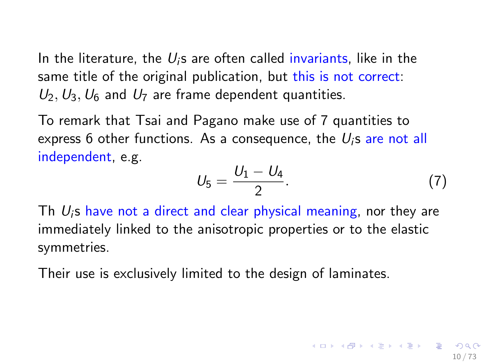In the literature, the  $U_i$ s are often called invariants, like in the same title of the original publication, but this is not correct:  $U_2$ ,  $U_3$ ,  $U_6$  and  $U_7$  are frame dependent quantities.

To remark that Tsai and Pagano make use of 7 quantities to express 6 other functions. As a consequence, the  $U_i$ s are not all independent, e.g.

$$
U_5 = \frac{U_1 - U_4}{2}.\tag{7}
$$

Th  $U_i$ s have not a direct and clear physical meaning, nor they are immediately linked to the anisotropic properties or to the elastic symmetries.

Their use is exclusively limited to the design of laminates.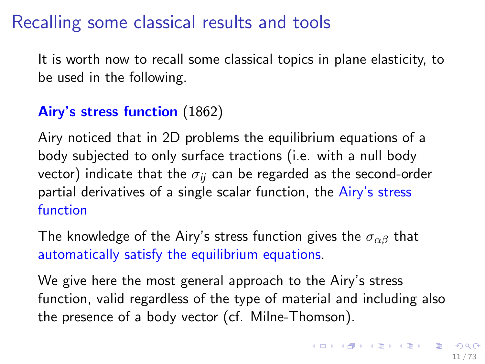# Recalling some classical results and tools

It is worth now to recall some classical topics in plane elasticity, to be used in the following.

#### Airy's stress function (1862)

Airy noticed that in 2D problems the equilibrium equations of a body subjected to only surface tractions (i.e. with a null body vector) indicate that the  $\sigma_{ii}$  can be regarded as the second-order partial derivatives of a single scalar function, the Airy's stress function

The knowledge of the Airy's stress function gives the  $\sigma_{\alpha\beta}$  that automatically satisfy the equilibrium equations.

We give here the most general approach to the Airy's stress function, valid regardless of the type of material and including also the presence of a body vector (cf. Milne-Thomson).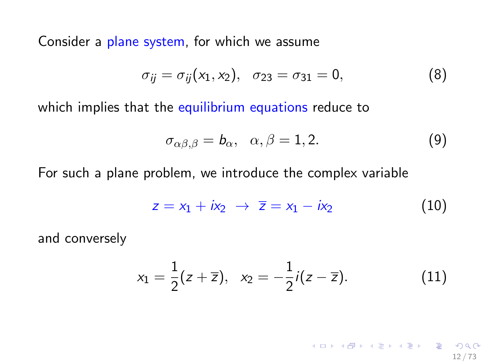Consider a plane system, for which we assume

$$
\sigma_{ij} = \sigma_{ij}(x_1, x_2), \quad \sigma_{23} = \sigma_{31} = 0, \tag{8}
$$

which implies that the equilibrium equations reduce to

<span id="page-11-0"></span>
$$
\sigma_{\alpha\beta,\beta} = b_{\alpha}, \quad \alpha, \beta = 1, 2. \tag{9}
$$

For such a plane problem, we introduce the complex variable

$$
z = x_1 + ix_2 \rightarrow \overline{z} = x_1 - ix_2 \tag{10}
$$

and conversely

$$
x_1 = \frac{1}{2}(z + \overline{z}), \quad x_2 = -\frac{1}{2}i(z - \overline{z}). \tag{11}
$$

12 / 73

K ロ ▶ K @ ▶ K 할 ▶ K 할 ▶ ( 할 ) X 9 Q Q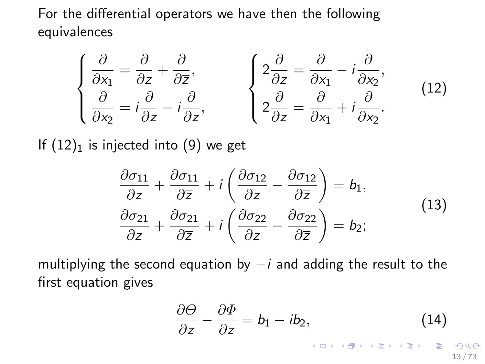For the differential operators we have then the following equivalences

<span id="page-12-0"></span>
$$
\begin{cases}\n\frac{\partial}{\partial x_1} = \frac{\partial}{\partial z} + \frac{\partial}{\partial \overline{z}}, & \begin{cases}\n2\frac{\partial}{\partial z} = \frac{\partial}{\partial x_1} - i\frac{\partial}{\partial x_2}, \\
\frac{\partial}{\partial x_2} = i\frac{\partial}{\partial z} - i\frac{\partial}{\partial \overline{z}},\n\end{cases} & (12)
$$

If  $(12)_1$  $(12)_1$  is injected into  $(9)$  we get

$$
\frac{\partial \sigma_{11}}{\partial z} + \frac{\partial \sigma_{11}}{\partial \overline{z}} + i \left( \frac{\partial \sigma_{12}}{\partial z} - \frac{\partial \sigma_{12}}{\partial \overline{z}} \right) = b_1, \n\frac{\partial \sigma_{21}}{\partial z} + \frac{\partial \sigma_{21}}{\partial \overline{z}} + i \left( \frac{\partial \sigma_{22}}{\partial z} - \frac{\partial \sigma_{22}}{\partial \overline{z}} \right) = b_2;
$$
\n(13)

multiplying the second equation by  $-i$  and adding the result to the first equation gives

<span id="page-12-1"></span>
$$
\frac{\partial \Theta}{\partial z} - \frac{\partial \Phi}{\partial \overline{z}} = b_1 - ib_2, \tag{14}
$$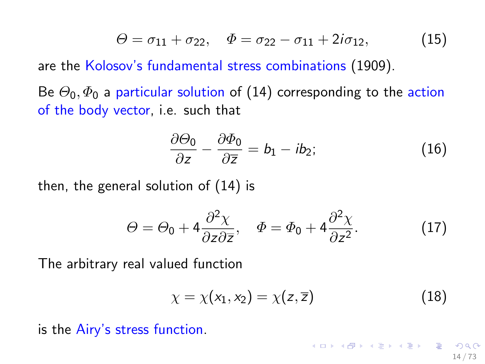<span id="page-13-0"></span>
$$
\Theta = \sigma_{11} + \sigma_{22}, \quad \Phi = \sigma_{22} - \sigma_{11} + 2i\sigma_{12}, \tag{15}
$$

are the Kolosov's fundamental stress combinations (1909).

Be  $\Theta_0$ ,  $\Phi_0$  a particular solution of [\(14\)](#page-12-1) corresponding to the action of the body vector, i.e. such that

$$
\frac{\partial \Theta_0}{\partial z} - \frac{\partial \Phi_0}{\partial \overline{z}} = b_1 - ib_2; \tag{16}
$$

then, the general solution of [\(14\)](#page-12-1) is

<span id="page-13-1"></span>
$$
\Theta = \Theta_0 + 4 \frac{\partial^2 \chi}{\partial z \partial \overline{z}}, \quad \Phi = \Phi_0 + 4 \frac{\partial^2 \chi}{\partial z^2}.
$$
 (17)

The arbitrary real valued function

$$
\chi = \chi(x_1, x_2) = \chi(z, \overline{z}) \tag{18}
$$

イロメ イ団メ イミメ イモメー 差

14 / 73

is the Airy's stress function.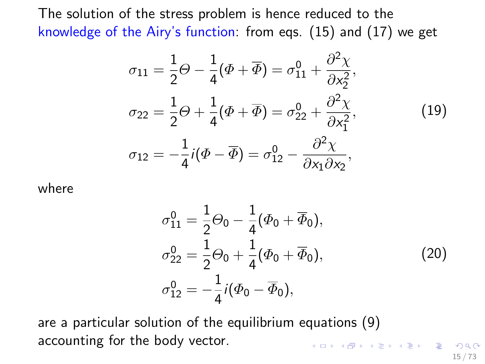The solution of the stress problem is hence reduced to the knowledge of the Airy's function: from eqs. [\(15\)](#page-13-0) and [\(17\)](#page-13-1) we get

$$
\sigma_{11} = \frac{1}{2}\Theta - \frac{1}{4}(\Phi + \overline{\Phi}) = \sigma_{11}^{0} + \frac{\partial^{2}\chi}{\partial x_{2}^{2}},
$$
  
\n
$$
\sigma_{22} = \frac{1}{2}\Theta + \frac{1}{4}(\Phi + \overline{\Phi}) = \sigma_{22}^{0} + \frac{\partial^{2}\chi}{\partial x_{1}^{2}},
$$
  
\n
$$
\sigma_{12} = -\frac{1}{4}i(\Phi - \overline{\Phi}) = \sigma_{12}^{0} - \frac{\partial^{2}\chi}{\partial x_{1}\partial x_{2}},
$$
\n(19)

<span id="page-14-0"></span>where

$$
\sigma_{11}^{0} = \frac{1}{2}\Theta_0 - \frac{1}{4}(\Phi_0 + \overline{\Phi}_0),
$$
  
\n
$$
\sigma_{22}^{0} = \frac{1}{2}\Theta_0 + \frac{1}{4}(\Phi_0 + \overline{\Phi}_0),
$$
  
\n
$$
\sigma_{12}^{0} = -\frac{1}{4}i(\Phi_0 - \overline{\Phi}_0),
$$
\n(20)

are a particular solution of the equilibrium equations [\(9\)](#page-11-0) accounting for the body vector. K ロ ▶ K @ ▶ K 글 ▶ K 글 ▶ │ 글 │ ◆ Q Q ◇

15 / 73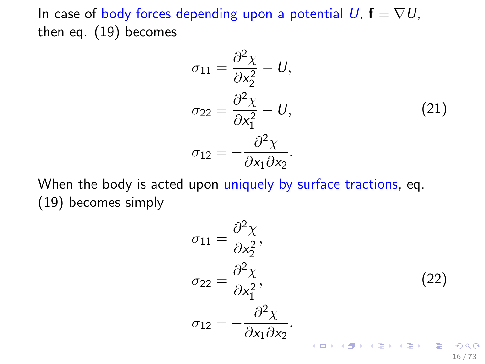In case of body forces depending upon a potential  $U$ ,  $f = \nabla U$ , then eq. [\(19\)](#page-14-0) becomes

$$
\sigma_{11} = \frac{\partial^2 \chi}{\partial x_2^2} - U,
$$
  
\n
$$
\sigma_{22} = \frac{\partial^2 \chi}{\partial x_1^2} - U,
$$
  
\n
$$
\sigma_{12} = -\frac{\partial^2 \chi}{\partial x_1 \partial x_2}.
$$
\n(21)

<span id="page-15-0"></span>When the body is acted upon uniquely by surface tractions, eq. [\(19\)](#page-14-0) becomes simply

$$
\sigma_{11} = \frac{\partial^2 \chi}{\partial x_2^2},
$$
  
\n
$$
\sigma_{22} = \frac{\partial^2 \chi}{\partial x_1^2},
$$
  
\n
$$
\sigma_{12} = -\frac{\partial^2 \chi}{\partial x_1 \partial x_2}.
$$
  
\n(22)  
\n(22)  
\n(23)  
\n(24)  
\n(25)  
\n(26)  
\n(28)  
\n(29)  
\n(20)  
\n(21)  
\n(22)  
\n(26)  
\n(29)  
\n(20)  
\n(21)  
\n(22)  
\n(26)  
\n(29)  
\n(20)  
\n(20)  
\n(21)  
\n(22)  
\n(26)  
\n(29)  
\n(20)  
\n(20)  
\n(21)  
\n(22)  
\n(26)  
\n(29)  
\n(20)  
\n(21)  
\n(21)  
\n(22)  
\n(26)  
\n(29)  
\n(20)  
\n(21)  
\n(21)  
\n(22)  
\n(26)  
\n(29)  
\n(20)  
\n(21)  
\n(21)  
\n(22)  
\n(26)  
\n(29)  
\n(20)  
\n(21)  
\n(21)  
\n(21)  
\n(21)  
\n(21)  
\n(21)  
\n(21)  
\n(21)  
\n(21)  
\n(21)  
\n(21)  
\n(21)  
\n(21)  
\n(21)  
\n(21)  
\n(21)  
\n(21)  
\n(21)  
\n(21)  
\n(21)  
\n(21)  
\n(21)  
\n(21)  
\n(21)  
\n(21)  
\n(21)  
\n(21)  
\n(21)  
\n(21)  
\n(21)  
\n(21)  
\n(22)  
\n(21)  
\n(21)  
\n(21)  
\n(21)  
\n(21)  
\n(21)  
\n(21)  
\n(21)  
\n(21)  
\n(21)  
\n(21)  
\n(21)  
\n(21)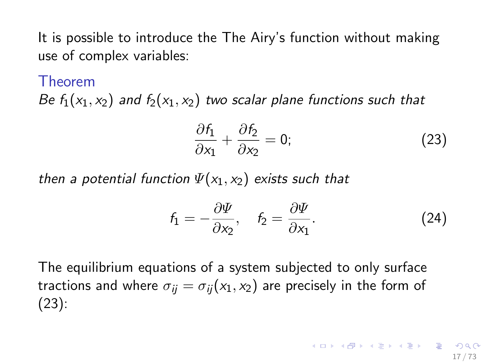It is possible to introduce the The Airy's function without making use of complex variables:

#### Theorem

Be  $f_1(x_1, x_2)$  and  $f_2(x_1, x_2)$  two scalar plane functions such that

<span id="page-16-0"></span>
$$
\frac{\partial f_1}{\partial x_1} + \frac{\partial f_2}{\partial x_2} = 0; \tag{23}
$$

then a potential function  $\Psi(x_1, x_2)$  exists such that

$$
f_1 = -\frac{\partial \Psi}{\partial x_2}, \quad f_2 = \frac{\partial \Psi}{\partial x_1}.
$$
 (24)

The equilibrium equations of a system subjected to only surface tractions and where  $\sigma_{ii} = \sigma_{ii}(x_1, x_2)$  are precisely in the form of [\(23\)](#page-16-0):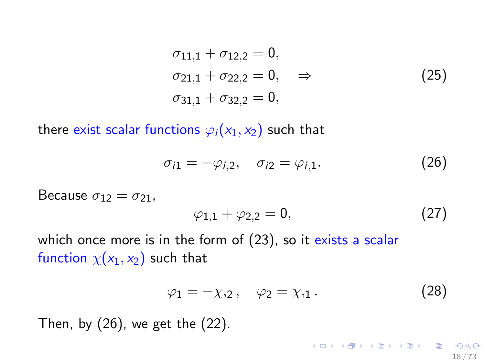$$
\sigma_{11,1} + \sigma_{12,2} = 0,\n\sigma_{21,1} + \sigma_{22,2} = 0, \Rightarrow\n\sigma_{31,1} + \sigma_{32,2} = 0,
$$
\n(25)

there exist scalar functions  $\varphi_i(x_1, x_2)$  such that

<span id="page-17-0"></span>
$$
\sigma_{i1} = -\varphi_{i,2}, \quad \sigma_{i2} = \varphi_{i,1}.\tag{26}
$$

Because  $\sigma_{12} = \sigma_{21}$ ,

$$
\varphi_{1,1} + \varphi_{2,2} = 0, \tag{27}
$$

which once more is in the form of [\(23\)](#page-16-0), so it exists a scalar function  $\chi(x_1, x_2)$  such that

$$
\varphi_1 = -\chi_{,2}, \quad \varphi_2 = \chi_{,1} \,. \tag{28}
$$

イロト 不優 ト 不差 ト 不差 トー 差し

18 / 73

Then, by  $(26)$ , we get the  $(22)$ .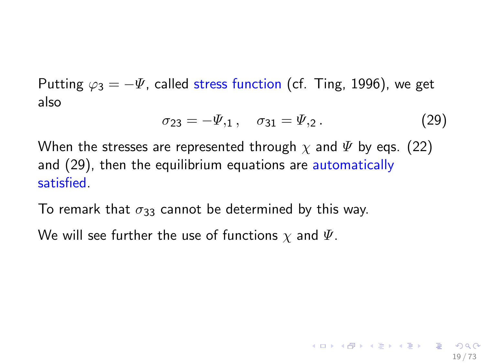Putting  $\varphi_3 = -\Psi$ , called stress function (cf. Ting, 1996), we get also

<span id="page-18-0"></span>
$$
\sigma_{23} = -\Psi_{,1} \,, \quad \sigma_{31} = \Psi_{,2} \,. \tag{29}
$$

When the stresses are represented through  $\chi$  and  $\Psi$  by eqs. [\(22\)](#page-15-0) and [\(29\)](#page-18-0), then the equilibrium equations are automatically satisfied.

To remark that  $\sigma_{33}$  cannot be determined by this way.

We will see further the use of functions  $\chi$  and  $\Psi$ .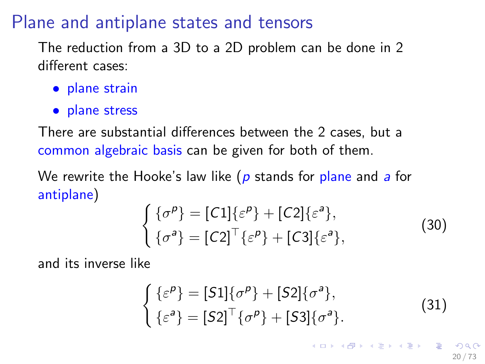# Plane and antiplane states and tensors

The reduction from a 3D to a 2D problem can be done in 2 different cases:

- plane strain
- plane stress

There are substantial differences between the 2 cases, but a common algebraic basis can be given for both of them.

We rewrite the Hooke's law like ( $p$  stands for plane and  $a$  for antiplane)

<span id="page-19-0"></span>
$$
\begin{cases}\n\{\sigma^p\} = [C1]\{\varepsilon^p\} + [C2]\{\varepsilon^a\},\\ \n\{\sigma^a\} = [C2]^\top \{\varepsilon^p\} + [C3]\{\varepsilon^a\},\n\end{cases}
$$
\n(30)

and its inverse like

<span id="page-19-1"></span>
$$
\begin{cases}\n\{\varepsilon^{\rho}\} = [S1]\{\sigma^{\rho}\} + [S2]\{\sigma^a\},\\ \n\{\varepsilon^a\} = [S2]^\top \{\sigma^{\rho}\} + [S3]\{\sigma^a\}.\n\end{cases}
$$
\n(31)

イロト 不優 ト 不思 ト 不思 トー 理

20 / 73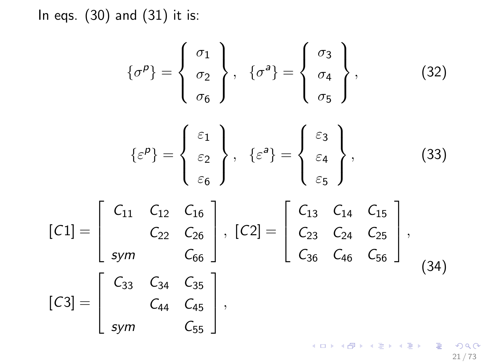In eqs. [\(30\)](#page-19-0) and [\(31\)](#page-19-1) it is:

$$
\{\sigma^p\} = \begin{Bmatrix} \sigma_1 \\ \sigma_2 \\ \sigma_6 \end{Bmatrix}, \quad \{\sigma^a\} = \begin{Bmatrix} \sigma_3 \\ \sigma_4 \\ \sigma_5 \end{Bmatrix}, \tag{32}
$$

$$
\{\varepsilon^p\} = \begin{Bmatrix} \varepsilon_1 \\ \varepsilon_2 \\ \varepsilon_6 \end{Bmatrix}, \ \{\varepsilon^a\} = \begin{Bmatrix} \varepsilon_3 \\ \varepsilon_4 \\ \varepsilon_5 \end{Bmatrix}, \tag{33}
$$

$$
[C1] = \begin{bmatrix} C_{11} & C_{12} & C_{16} \ C_{22} & C_{26} \ \text{sym} & C_{66} \end{bmatrix}, [C2] = \begin{bmatrix} C_{13} & C_{14} & C_{15} \ C_{23} & C_{24} & C_{25} \ C_{36} & C_{46} & C_{56} \end{bmatrix},
$$
  
\n
$$
[C3] = \begin{bmatrix} C_{33} & C_{34} & C_{35} \ C_{44} & C_{45} \ \text{sym} & C_{55} \end{bmatrix},
$$
 (34)

21 / 73

K ロ X (個) X (目) X (目) X (目) 2 (の) Q (V)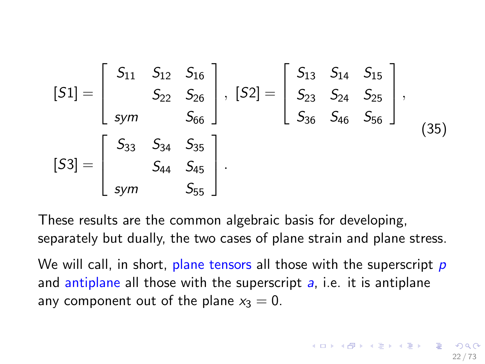$[S1] =$  $\sqrt{ }$  $\overline{\phantom{a}}$  $S_{11}$   $S_{12}$   $S_{16}$  $S_{22}$   $S_{26}$ sym S<sub>66</sub> 1  $\Big\vert \, , \, [S2] =$  $\sqrt{ }$  $\vert$  $S_{13}$   $S_{14}$   $S_{15}$  $S_{23}$   $S_{24}$   $S_{25}$  $S_{36}$   $S_{46}$   $S_{56}$ 1  $\vert \cdot$  $[S3] =$  $\sqrt{ }$  $\vert$  $S_{33}$   $S_{34}$   $S_{35}$  $S_{44}$   $S_{45}$ sym S<sub>55</sub> 1  $\vert \cdot$ (35)

These results are the common algebraic basis for developing, separately but dually, the two cases of plane strain and plane stress.

We will call, in short, plane tensors all those with the superscript  $p$ and antiplane all those with the superscript  $a$ , i.e. it is antiplane any component out of the plane  $x_3 = 0$ .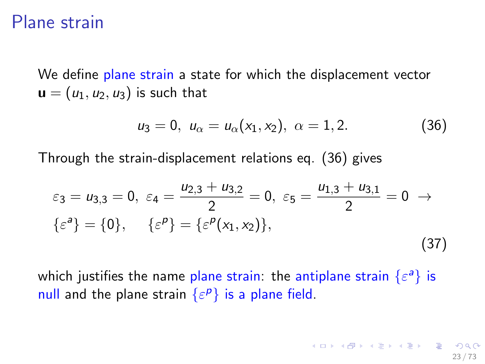## Plane strain

We define plane strain a state for which the displacement vector  $\mathbf{u} = (u_1, u_2, u_3)$  is such that

<span id="page-22-0"></span>
$$
u_3 = 0, \ u_{\alpha} = u_{\alpha}(x_1, x_2), \ \alpha = 1, 2. \tag{36}
$$

Through the strain-displacement relations eq. [\(36\)](#page-22-0) gives

$$
\varepsilon_3 = u_{3,3} = 0, \ \varepsilon_4 = \frac{u_{2,3} + u_{3,2}}{2} = 0, \ \varepsilon_5 = \frac{u_{1,3} + u_{3,1}}{2} = 0 \ \to \ \{\varepsilon^a\} = \{0\}, \quad \{\varepsilon^p\} = \{\varepsilon^p(x_1, x_2)\},\tag{37}
$$

<span id="page-22-1"></span>which justifies the name plane strain: the antiplane strain  $\{\varepsilon^a\}$  is null and the plane strain  $\{\varepsilon^p\}$  is a plane field.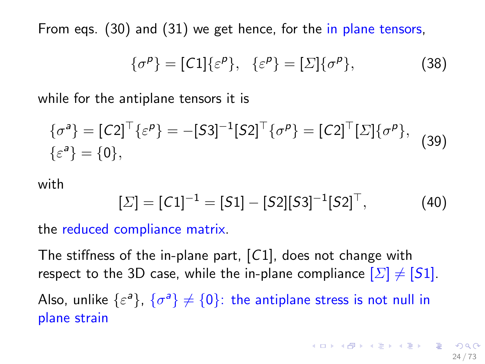From eqs. [\(30\)](#page-19-0) and [\(31\)](#page-19-1) we get hence, for the in plane tensors,

$$
\{\sigma^p\} = [C1]\{\varepsilon^p\}, \quad \{\varepsilon^p\} = [\Sigma]\{\sigma^p\},\tag{38}
$$

while for the antiplane tensors it is

<span id="page-23-0"></span>
$$
\{\sigma^a\} = [C2]^\top \{\varepsilon^\rho\} = -[S3]^{-1} [S2]^\top \{\sigma^\rho\} = [C2]^\top [\Sigma] \{\sigma^\rho\},
$$
  

$$
\{\varepsilon^a\} = \{0\},
$$
 (39)

#### with

$$
[\Sigma] = [C1]^{-1} = [S1] - [S2][S3]^{-1}[S2]^\top, \tag{40}
$$

the reduced compliance matrix.

The stiffness of the in-plane part, [C1], does not change with respect to the 3D case, while the in-plane compliance  $[\Sigma] \neq [S1]$ .

Also, unlike  $\{\varepsilon^a\}$ ,  $\{\sigma^a\} \neq \{0\}$ : the antiplane stress is not null in plane strain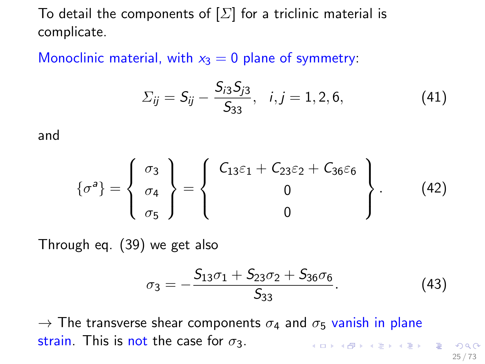To detail the components of  $[\Sigma]$  for a triclinic material is complicate.

Monoclinic material, with  $x_3 = 0$  plane of symmetry:

$$
\Sigma_{ij} = S_{ij} - \frac{S_{i3}S_{j3}}{S_{33}}, \quad i, j = 1, 2, 6,
$$
 (41)

and

$$
\{\sigma^a\} = \left\{\begin{array}{c}\sigma_3\\ \sigma_4\\ \sigma_5\end{array}\right\} = \left\{\begin{array}{c}C_{13}\varepsilon_1 + C_{23}\varepsilon_2 + C_{36}\varepsilon_6\\ 0\\ 0\end{array}\right\}.
$$
 (42)

Through eq. [\(39\)](#page-23-0) we get also

$$
\sigma_3 = -\frac{S_{13}\sigma_1 + S_{23}\sigma_2 + S_{36}\sigma_6}{S_{33}}.\tag{43}
$$

 $\rightarrow$  The transverse shear components  $\sigma_4$  and  $\sigma_5$  vanish in plane strain. This is not the case for  $\sigma_3$ . K ロ ▶ K @ ▶ K 경 ▶ K 경 ▶ X 경

25 / 73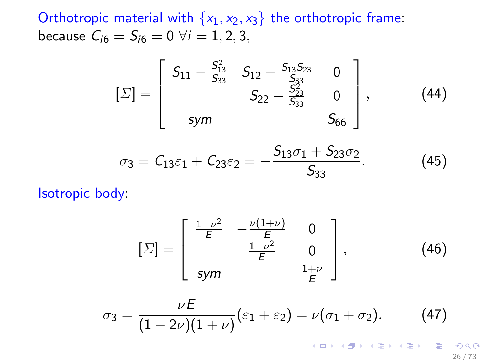Orthotropic material with  $\{x_1, x_2, x_3\}$  the orthotropic frame: because  $C_{i6} = S_{i6} = 0 \ \forall i = 1, 2, 3,$ 

$$
\left[\Sigma\right] = \left[\begin{array}{ccc} S_{11} - \frac{S_{13}^2}{S_{33}} & S_{12} - \frac{S_{13}S_{23}}{S_{33}} & 0\\ S_{22} - \frac{S_{23}^2}{S_{33}} & 0\\ sym & S_{66} \end{array}\right],\tag{44}
$$

$$
\sigma_3 = C_{13}\varepsilon_1 + C_{23}\varepsilon_2 = -\frac{S_{13}\sigma_1 + S_{23}\sigma_2}{S_{33}}.
$$
 (45)

Isotropic body:

$$
[\Sigma] = \begin{bmatrix} \frac{1-\nu^2}{E} & -\frac{\nu(1+\nu)}{E} & 0\\ \frac{1-\nu^2}{E} & 0\\ \text{sym} & \frac{1+\nu}{E} \end{bmatrix},
$$
 (46)

$$
\sigma_3 = \frac{\nu E}{(1-2\nu)(1+\nu)}(\varepsilon_1 + \varepsilon_2) = \nu(\sigma_1 + \sigma_2). \tag{47}
$$

26 / 73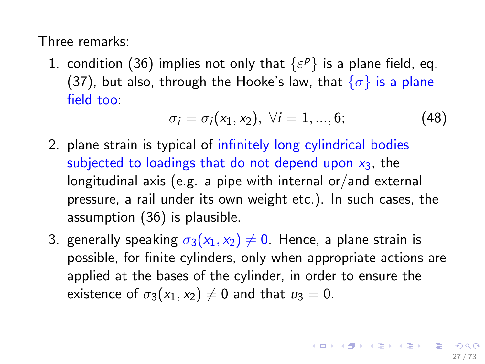Three remarks:

1. condition [\(36\)](#page-22-0) implies not only that  $\{\varepsilon^p\}$  is a plane field, eq. [\(37\)](#page-22-1), but also, through the Hooke's law, that  $\{\sigma\}$  is a plane field too:

$$
\sigma_i = \sigma_i(x_1, x_2), \ \forall i = 1, ..., 6; \tag{48}
$$

- 2. plane strain is typical of infinitely long cylindrical bodies subjected to loadings that do not depend upon  $x_3$ , the longitudinal axis (e.g. a pipe with internal or/and external pressure, a rail under its own weight etc.). In such cases, the assumption [\(36\)](#page-22-0) is plausible.
- 3. generally speaking  $\sigma_3(x_1, x_2) \neq 0$ . Hence, a plane strain is possible, for finite cylinders, only when appropriate actions are applied at the bases of the cylinder, in order to ensure the existence of  $\sigma_3(x_1, x_2) \neq 0$  and that  $u_3 = 0$ .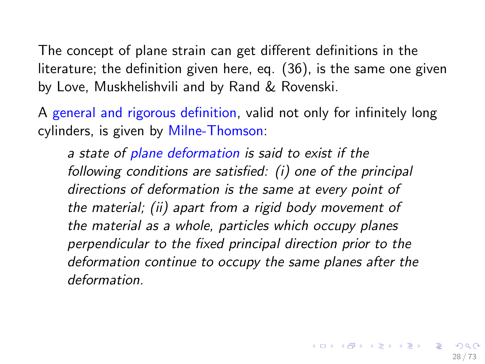The concept of plane strain can get different definitions in the literature; the definition given here, eq. [\(36\)](#page-22-0), is the same one given by Love, Muskhelishvili and by Rand & Rovenski.

A general and rigorous definition, valid not only for infinitely long cylinders, is given by Milne-Thomson:

a state of plane deformation is said to exist if the following conditions are satisfied: (i) one of the principal directions of deformation is the same at every point of the material; (ii) apart from a rigid body movement of the material as a whole, particles which occupy planes perpendicular to the fixed principal direction prior to the deformation continue to occupy the same planes after the deformation.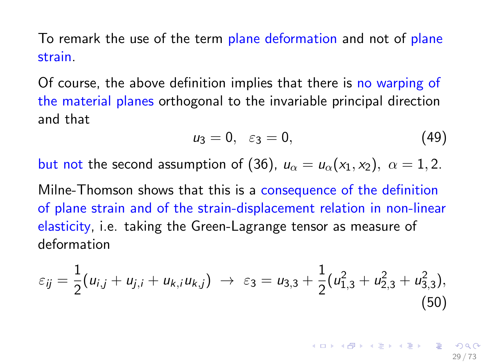To remark the use of the term plane deformation and not of plane strain.

Of course, the above definition implies that there is no warping of the material planes orthogonal to the invariable principal direction and that

<span id="page-28-0"></span>
$$
u_3=0, \quad \varepsilon_3=0,\tag{49}
$$

but not the second assumption of [\(36\)](#page-22-0),  $u_{\alpha} = u_{\alpha}(x_1, x_2), \ \alpha = 1, 2.$ 

Milne-Thomson shows that this is a consequence of the definition of plane strain and of the strain-displacement relation in non-linear elasticity, i.e. taking the Green-Lagrange tensor as measure of deformation

$$
\varepsilon_{ij} = \frac{1}{2}(u_{i,j} + u_{j,i} + u_{k,i}u_{k,j}) \rightarrow \varepsilon_3 = u_{3,3} + \frac{1}{2}(u_{1,3}^2 + u_{2,3}^2 + u_{3,3}^2),
$$
\n(50)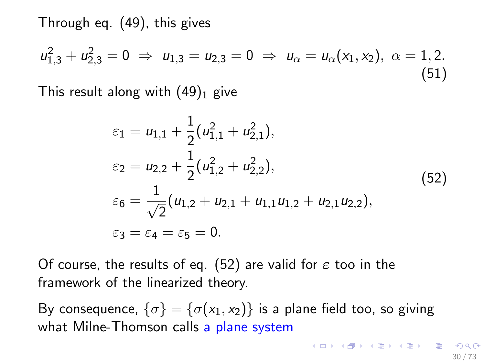Through eq. [\(49\)](#page-28-0), this gives

$$
u_{1,3}^2 + u_{2,3}^2 = 0 \Rightarrow u_{1,3} = u_{2,3} = 0 \Rightarrow u_{\alpha} = u_{\alpha}(x_1, x_2), \ \alpha = 1, 2. \tag{51}
$$

This result along with  $(49)_1$  $(49)_1$  give

$$
\varepsilon_1 = u_{1,1} + \frac{1}{2} (u_{1,1}^2 + u_{2,1}^2),
$$
  
\n
$$
\varepsilon_2 = u_{2,2} + \frac{1}{2} (u_{1,2}^2 + u_{2,2}^2),
$$
  
\n
$$
\varepsilon_6 = \frac{1}{\sqrt{2}} (u_{1,2} + u_{2,1} + u_{1,1}u_{1,2} + u_{2,1}u_{2,2}),
$$
  
\n
$$
\varepsilon_3 = \varepsilon_4 = \varepsilon_5 = 0.
$$
\n(52)

<span id="page-29-0"></span>Of course, the results of eq. [\(52\)](#page-29-0) are valid for  $\varepsilon$  too in the framework of the linearized theory.

By consequence,  $\{\sigma\} = \{\sigma(x_1, x_2)\}\$ is a plane field too, so giving what Milne-Thomson calls a plane system

 $\mathbf{C} = \{ \mathbf{C} \in \mathbb{R} \mid \mathbf{C} \in \mathbb{R} \mid \mathbf{C} \in \mathbb{R} \text{ and } \mathbf{C} \in \mathbb{R} \text{ and } \mathbf{C} \in \mathbb{R} \text{ and } \mathbf{C} \in \mathbb{R} \text{ and } \mathbf{C} \in \mathbb{R} \text{ and } \mathbf{C} \in \mathbb{R} \text{ and } \mathbf{C} \in \mathbb{R} \text{ and } \mathbf{C} \in \mathbb{R} \text{ and } \mathbf{C} \in \mathbb{R} \text{ and } \mathbf{C} \in$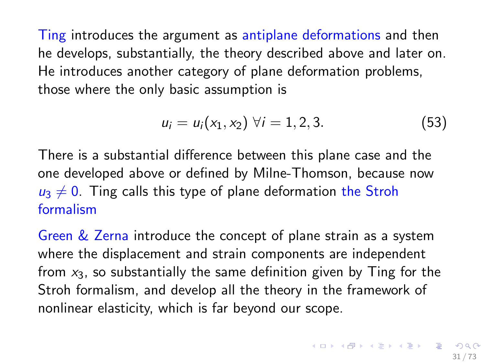Ting introduces the argument as antiplane deformations and then he develops, substantially, the theory described above and later on. He introduces another category of plane deformation problems, those where the only basic assumption is

$$
u_i = u_i(x_1, x_2) \,\forall i = 1, 2, 3. \tag{53}
$$

There is a substantial difference between this plane case and the one developed above or defined by Milne-Thomson, because now  $u_3 \neq 0$ . Ting calls this type of plane deformation the Stroh formalism

Green & Zerna introduce the concept of plane strain as a system where the displacement and strain components are independent from  $x_3$ , so substantially the same definition given by Ting for the Stroh formalism, and develop all the theory in the framework of nonlinear elasticity, which is far beyond our scope.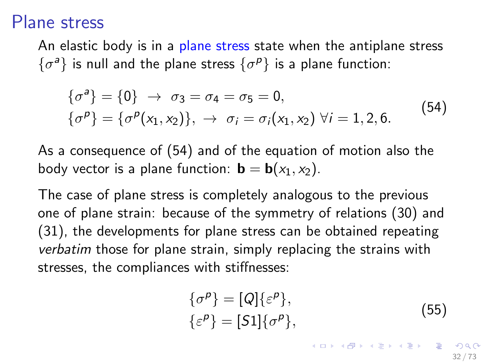#### Plane stress

An elastic body is in a plane stress state when the antiplane stress  $\{\sigma^a\}$  is null and the plane stress  $\{\sigma^p\}$  is a plane function:

$$
\{\sigma^a\} = \{0\} \rightarrow \sigma_3 = \sigma_4 = \sigma_5 = 0,\{\sigma^p\} = \{\sigma^p(x_1, x_2)\}, \rightarrow \sigma_i = \sigma_i(x_1, x_2) \ \forall i = 1, 2, 6.
$$
\n(54)

<span id="page-31-0"></span>As a consequence of [\(54\)](#page-31-0) and of the equation of motion also the body vector is a plane function:  $\mathbf{b} = \mathbf{b}(x_1, x_2)$ .

The case of plane stress is completely analogous to the previous one of plane strain: because of the symmetry of relations [\(30\)](#page-19-0) and [\(31\)](#page-19-1), the developments for plane stress can be obtained repeating verbatim those for plane strain, simply replacing the strains with stresses, the compliances with stiffnesses:

$$
\begin{aligned} \{\sigma^{\rho}\} &= [\mathcal{Q}]\{\varepsilon^{\rho}\}, \\ \{\varepsilon^{\rho}\} &= [\mathcal{S}1]\{\sigma^{\rho}\}, \end{aligned} \tag{55}
$$

イロト 不優 トメ 君 トメ 君 トー 君

32 / 73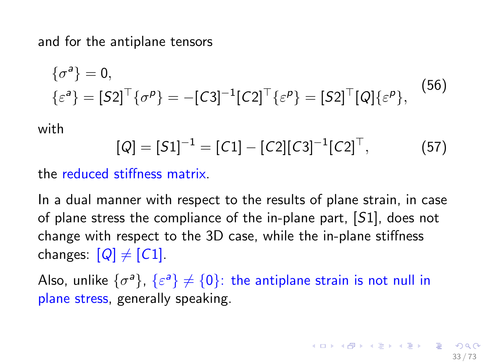and for the antiplane tensors

$$
\{\sigma^a\} = 0,
$$
  

$$
\{\varepsilon^a\} = [S2]^\top \{\sigma^p\} = -[C3]^{-1} [C2]^\top \{\varepsilon^p\} = [S2]^\top [Q] \{\varepsilon^p\},
$$
 (56)

<span id="page-32-0"></span>with

$$
[Q] = [S1]^{-1} = [C1] - [C2][C3]^{-1}[C2]^\top,
$$
 (57)

the reduced stiffness matrix.

In a dual manner with respect to the results of plane strain, in case of plane stress the compliance of the in-plane part, [S1], does not change with respect to the 3D case, while the in-plane stiffness changes:  $[Q] \neq [C1]$ .

Also, unlike  $\{\sigma^a\}$ ,  $\{\varepsilon^a\} \neq \{0\}$ : the antiplane strain is not null in plane stress, generally speaking.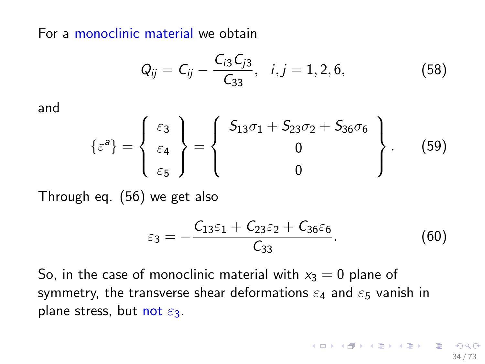For a monoclinic material we obtain

$$
Q_{ij} = C_{ij} - \frac{C_{i3}C_{j3}}{C_{33}}, \quad i, j = 1, 2, 6,
$$
 (58)

and

$$
\{\varepsilon^a\} = \left\{\begin{array}{c}\varepsilon_3\\ \varepsilon_4\\ \varepsilon_5\end{array}\right\} = \left\{\begin{array}{c}\mathsf{S}_{13}\sigma_1 + \mathsf{S}_{23}\sigma_2 + \mathsf{S}_{36}\sigma_6\\ 0\\ 0\end{array}\right\}.
$$
 (59)

Through eq. [\(56\)](#page-32-0) we get also

$$
\varepsilon_3=-\frac{C_{13}\varepsilon_1+C_{23}\varepsilon_2+C_{36}\varepsilon_6}{C_{33}}.\t(60)
$$

So, in the case of monoclinic material with  $x_3 = 0$  plane of symmetry, the transverse shear deformations  $\varepsilon_4$  and  $\varepsilon_5$  vanish in plane stress, but not  $\varepsilon_3$ .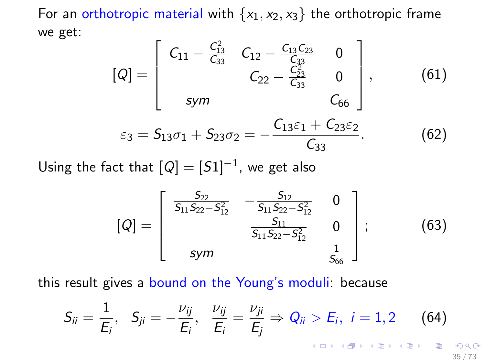For an orthotropic material with  $\{x_1, x_2, x_3\}$  the orthotropic frame we get:

$$
[Q] = \begin{bmatrix} C_{11} - \frac{C_{13}^2}{C_{33}} & C_{12} - \frac{C_{13}C_{23}}{C_{33}} & 0 \\ C_{22} - \frac{C_{23}^2}{C_{33}} & 0 \\ sym & C_{66} \end{bmatrix}, \qquad (61)
$$
  

$$
\varepsilon_3 = S_{13}\sigma_1 + S_{23}\sigma_2 = -\frac{C_{13}\varepsilon_1 + C_{23}\varepsilon_2}{C_{33}}.
$$
 (62)

Using the fact that  $[Q] = [S1]^{-1}$ , we get also

$$
[Q] = \begin{bmatrix} \frac{S_{22}}{S_{11}S_{22}-S_{12}^2} & -\frac{S_{12}}{S_{11}S_{22}-S_{12}^2} & 0\\ \frac{S_{11}}{S_{11}S_{22}-S_{12}^2} & 0\\ \text{sym} & \frac{1}{S_{66}} \end{bmatrix};
$$
(63)

this result gives a bound on the Young's moduli: because

$$
S_{ii} = \frac{1}{E_i}, \quad S_{ji} = -\frac{\nu_{ij}}{E_i}, \quad \frac{\nu_{ij}}{E_i} = \frac{\nu_{ji}}{E_j} \Rightarrow Q_{ii} > E_i, \quad i = 1, 2 \quad (64)
$$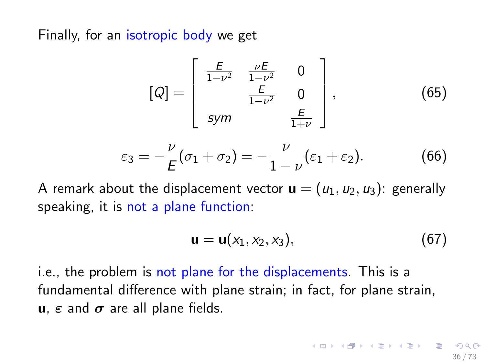Finally, for an isotropic body we get

$$
[Q] = \begin{bmatrix} \frac{E}{1-\nu^2} & \frac{\nu E}{1-\nu^2} & 0\\ \frac{E}{1-\nu^2} & 0\\ \text{sym} & \frac{E}{1+\nu} \end{bmatrix},
$$
(65)

$$
\varepsilon_3 = -\frac{\nu}{E}(\sigma_1 + \sigma_2) = -\frac{\nu}{1-\nu}(\varepsilon_1 + \varepsilon_2). \tag{66}
$$

A remark about the displacement vector  $\mathbf{u} = (u_1, u_2, u_3)$ : generally speaking, it is not a plane function:

$$
\mathbf{u} = \mathbf{u}(x_1, x_2, x_3), \tag{67}
$$

i.e., the problem is not plane for the displacements. This is a fundamental difference with plane strain; in fact, for plane strain, u,  $\varepsilon$  and  $\sigma$  are all plane fields.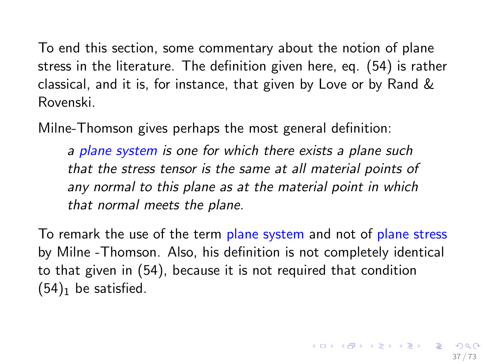To end this section, some commentary about the notion of plane stress in the literature. The definition given here, eq. [\(54\)](#page-31-0) is rather classical, and it is, for instance, that given by Love or by Rand & Rovenski.

Milne-Thomson gives perhaps the most general definition:

a plane system is one for which there exists a plane such that the stress tensor is the same at all material points of any normal to this plane as at the material point in which that normal meets the plane.

To remark the use of the term plane system and not of plane stress by Milne -Thomson. Also, his definition is not completely identical to that given in [\(54\)](#page-31-0), because it is not required that condition  $(54)_1$  $(54)_1$  be satisfied.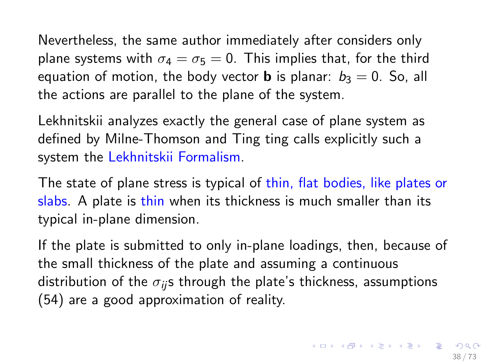Nevertheless, the same author immediately after considers only plane systems with  $\sigma_4 = \sigma_5 = 0$ . This implies that, for the third equation of motion, the body vector **b** is planar:  $b_3 = 0$ . So, all the actions are parallel to the plane of the system.

Lekhnitskii analyzes exactly the general case of plane system as defined by Milne-Thomson and Ting ting calls explicitly such a system the Lekhnitskii Formalism.

The state of plane stress is typical of thin, flat bodies, like plates or slabs. A plate is thin when its thickness is much smaller than its typical in-plane dimension.

If the plate is submitted to only in-plane loadings, then, because of the small thickness of the plate and assuming a continuous distribution of the  $\sigma_{ij}$ s through the plate's thickness, assumptions [\(54\)](#page-31-0) are a good approximation of reality.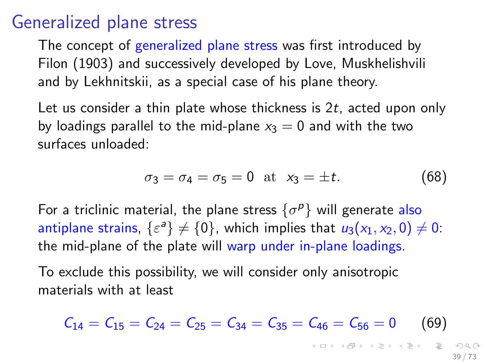#### Generalized plane stress

The concept of generalized plane stress was first introduced by Filon (1903) and successively developed by Love, Muskhelishvili and by Lekhnitskii, as a special case of his plane theory.

Let us consider a thin plate whose thickness is  $2t$ , acted upon only by loadings parallel to the mid-plane  $x_3 = 0$  and with the two surfaces unloaded:

<span id="page-38-1"></span>
$$
\sigma_3 = \sigma_4 = \sigma_5 = 0 \text{ at } x_3 = \pm t.
$$
 (68)

For a triclinic material, the plane stress  $\{\sigma^p\}$  will generate also antiplane strains,  $\{\varepsilon^a\} \neq \{0\}$ , which implies that  $u_3(x_1, x_2, 0) \neq 0$ : the mid-plane of the plate will warp under in-plane loadings.

To exclude this possibility, we will consider only anisotropic materials with at least

<span id="page-38-0"></span>
$$
C_{14} = C_{15} = C_{24} = C_{25} = C_{34} = C_{35} = C_{46} = C_{56} = 0 \tag{69}
$$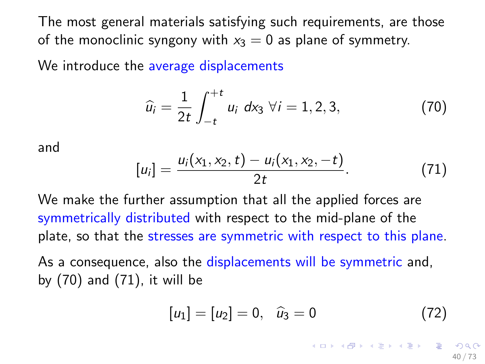<span id="page-39-2"></span>The most general materials satisfying such requirements, are those of the monoclinic syngony with  $x_3 = 0$  as plane of symmetry.

We introduce the average displacements

<span id="page-39-0"></span>
$$
\widehat{u}_i = \frac{1}{2t} \int_{-t}^{+t} u_i \, dx_3 \, \forall i = 1, 2, 3,
$$
 (70)

and

<span id="page-39-1"></span>
$$
[u_i] = \frac{u_i(x_1, x_2, t) - u_i(x_1, x_2, -t)}{2t}.
$$
 (71)

We make the further assumption that all the applied forces are symmetrically distributed with respect to the mid-plane of the plate, so that the stresses are symmetric with respect to this plane.

As a consequence, also the displacements will be symmetric and, by [\(70\)](#page-39-0) and [\(71\)](#page-39-1), it will be

$$
[u_1] = [u_2] = 0, \quad \hat{u}_3 = 0 \tag{72}
$$

イロト 不優 ト 不重 ト 不重 トー 重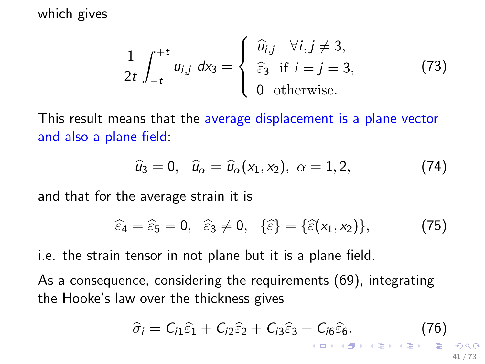#### <span id="page-40-0"></span>which gives

$$
\frac{1}{2t} \int_{-t}^{+t} u_{i,j} \, dx_3 = \begin{cases} \widehat{u}_{i,j} & \forall i, j \neq 3, \\ \widehat{\varepsilon}_3 & \text{if } i = j = 3, \\ 0 & \text{otherwise.} \end{cases} \tag{73}
$$

This result means that the average displacement is a plane vector and also a plane field:

$$
\widehat{u}_3 = 0, \quad \widehat{u}_\alpha = \widehat{u}_\alpha(x_1, x_2), \quad \alpha = 1, 2, \tag{74}
$$

and that for the average strain it is

<span id="page-40-2"></span>
$$
\widehat{\varepsilon}_4 = \widehat{\varepsilon}_5 = 0, \quad \widehat{\varepsilon}_3 \neq 0, \quad \{\widehat{\varepsilon}\} = \{\widehat{\varepsilon}(x_1, x_2)\}, \tag{75}
$$

i.e. the strain tensor in not plane but it is a plane field.

As a consequence, considering the requirements [\(69\)](#page-38-0), integrating the Hooke's law over the thickness gives

<span id="page-40-1"></span>
$$
\widehat{\sigma}_i = C_{i1}\widehat{\varepsilon}_1 + C_{i2}\widehat{\varepsilon}_2 + C_{i3}\widehat{\varepsilon}_3 + C_{i6}\widehat{\varepsilon}_6. \qquad (76)
$$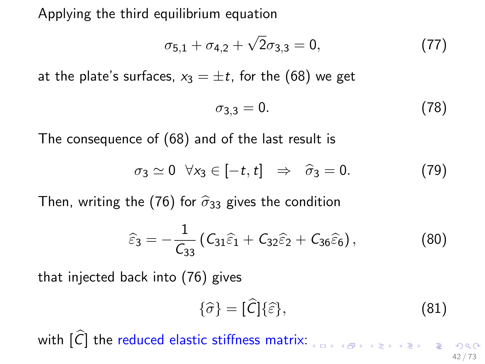<span id="page-41-0"></span>Applying the third equilibrium equation

$$
\sigma_{5,1} + \sigma_{4,2} + \sqrt{2}\sigma_{3,3} = 0, \qquad (77)
$$

at the plate's surfaces,  $x_3 = \pm t$ , for the [\(68\)](#page-38-1) we get

$$
\sigma_{3,3}=0.\t(78)
$$

The consequence of [\(68\)](#page-38-1) and of the last result is

$$
\sigma_3 \simeq 0 \quad \forall x_3 \in [-t, t] \quad \Rightarrow \quad \widehat{\sigma}_3 = 0. \tag{79}
$$

Then, writing the [\(76\)](#page-40-1) for  $\hat{\sigma}_{33}$  gives the condition

$$
\widehat{\varepsilon}_3 = -\frac{1}{\mathcal{C}_{33}} \left( \mathcal{C}_{31} \widehat{\varepsilon}_1 + \mathcal{C}_{32} \widehat{\varepsilon}_2 + \mathcal{C}_{36} \widehat{\varepsilon}_6 \right), \tag{80}
$$

that injected back into [\(76\)](#page-40-1) gives

$$
\{\hat{\sigma}\} = [\hat{C}]\{\hat{\varepsilon}\},\tag{81}
$$

with  $\widehat{C}$  the reduced elastic stiffness matrix:  $\sum_{x \in S} \widehat{C}$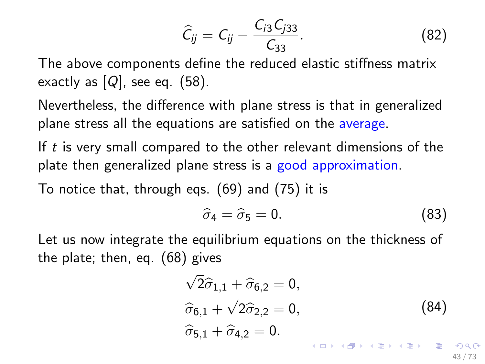$$
\widehat{C}_{ij} = C_{ij} - \frac{C_{i3}C_{j33}}{C_{33}}.
$$
 (82)

The above components define the reduced elastic stiffness matrix exactly as  $[Q]$ , see eq. [\(58\)](#page-33-0).

Nevertheless, the difference with plane stress is that in generalized plane stress all the equations are satisfied on the average.

If  $t$  is very small compared to the other relevant dimensions of the plate then generalized plane stress is a good approximation.

To notice that, through eqs. [\(69\)](#page-38-0) and [\(75\)](#page-40-2) it is

$$
\widehat{\sigma}_4 = \widehat{\sigma}_5 = 0. \tag{83}
$$

Let us now integrate the equilibrium equations on the thickness of the plate; then, eq. [\(68\)](#page-38-1) gives

$$
\sqrt{2}\hat{\sigma}_{1,1} + \hat{\sigma}_{6,2} = 0,
$$
\n
$$
\hat{\sigma}_{6,1} + \sqrt{2}\hat{\sigma}_{2,2} = 0,
$$
\n
$$
\hat{\sigma}_{5,1} + \hat{\sigma}_{4,2} = 0.
$$
\n
$$
(84)
$$
\n
$$
\hat{\sigma}_{5,1} + \hat{\sigma}_{4,2} = 0.
$$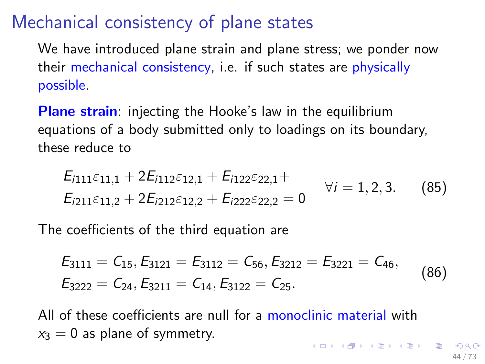## Mechanical consistency of plane states

We have introduced plane strain and plane stress; we ponder now their mechanical consistency, i.e. if such states are physically possible.

**Plane strain:** injecting the Hooke's law in the equilibrium equations of a body submitted only to loadings on its boundary, these reduce to

$$
E_{i111}\varepsilon_{11,1} + 2E_{i112}\varepsilon_{12,1} + E_{i122}\varepsilon_{22,1} +E_{i211}\varepsilon_{11,2} + 2E_{i212}\varepsilon_{12,2} + E_{i222}\varepsilon_{22,2} = 0 \qquad \forall i = 1, 2, 3.
$$
 (85)

The coefficients of the third equation are

$$
E_{3111} = C_{15}, E_{3121} = E_{3112} = C_{56}, E_{3212} = E_{3221} = C_{46},
$$
  
\n
$$
E_{3222} = C_{24}, E_{3211} = C_{14}, E_{3122} = C_{25}.
$$
\n(86)

<span id="page-43-0"></span>All of these coefficients are null for a monoclinic material with  $x_3 = 0$  as plane of symmetry.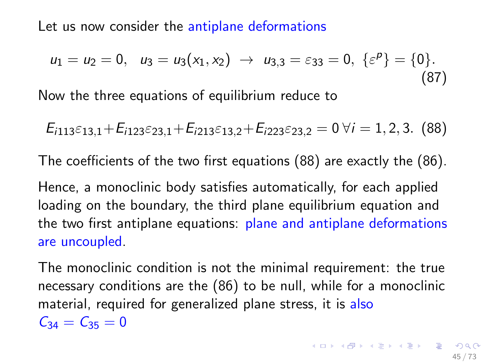Let us now consider the antiplane deformations

$$
u_1 = u_2 = 0, \quad u_3 = u_3(x_1, x_2) \rightarrow u_{3,3} = \varepsilon_{33} = 0, \ \{\varepsilon^p\} = \{0\}.
$$
\n(87)

Now the three equations of equilibrium reduce to

<span id="page-44-0"></span>
$$
E_{i113}\varepsilon_{13,1} + E_{i123}\varepsilon_{23,1} + E_{i213}\varepsilon_{13,2} + E_{i223}\varepsilon_{23,2} = 0 \,\forall i = 1,2,3.
$$
 (88)

The coefficients of the two first equations [\(88\)](#page-44-0) are exactly the [\(86\)](#page-43-0).

Hence, a monoclinic body satisfies automatically, for each applied loading on the boundary, the third plane equilibrium equation and the two first antiplane equations: plane and antiplane deformations are uncoupled.

The monoclinic condition is not the minimal requirement: the true necessary conditions are the [\(86\)](#page-43-0) to be null, while for a monoclinic material, required for generalized plane stress, it is also  $C_{34} = C_{35} = 0$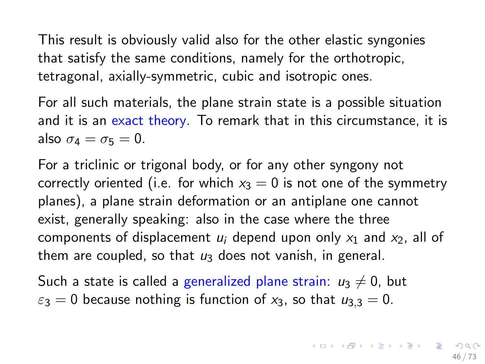<span id="page-45-0"></span>This result is obviously valid also for the other elastic syngonies that satisfy the same conditions, namely for the orthotropic, tetragonal, axially-symmetric, cubic and isotropic ones.

For all such materials, the plane strain state is a possible situation and it is an exact theory. To remark that in this circumstance, it is also  $\sigma_4 = \sigma_5 = 0$ .

For a triclinic or trigonal body, or for any other syngony not correctly oriented (i.e. for which  $x_3 = 0$  is not one of the symmetry planes), a plane strain deformation or an antiplane one cannot exist, generally speaking: also in the case where the three components of displacement  $u_i$  depend upon only  $x_1$  and  $x_2$ , all of them are coupled, so that  $u_3$  does not vanish, in general.

Such a state is called a generalized plane strain:  $u_3 \neq 0$ , but  $\varepsilon_3 = 0$  because nothing is function of x<sub>3</sub>, so that  $u_3$ ,  $= 0$ .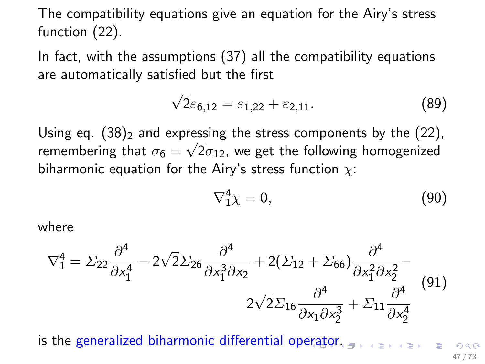<span id="page-46-0"></span>The compatibility equations give an equation for the Airy's stress function [\(22\)](#page-15-0).

In fact, with the assumptions [\(37\)](#page-22-0) all the compatibility equations are automatically satisfied but the first

$$
\sqrt{2}\varepsilon_{6,12} = \varepsilon_{1,22} + \varepsilon_{2,11}.\tag{89}
$$

Using eq.  $(38)_2$  $(38)_2$  and expressing the stress components by the  $(22)$ , remembering that  $\sigma_6 = \sqrt{2} \sigma_{12}$ , we get the following homogenized biharmonic equation for the Airy's stress function  $\chi$ :

$$
\nabla_1^4 \chi = 0, \tag{90}
$$

where

$$
\nabla_1^4 = \Sigma_{22} \frac{\partial^4}{\partial x_1^4} - 2\sqrt{2} \Sigma_{26} \frac{\partial^4}{\partial x_1^3 \partial x_2} + 2(\Sigma_{12} + \Sigma_{66}) \frac{\partial^4}{\partial x_1^2 \partial x_2^2} - 2\sqrt{2} \Sigma_{16} \frac{\partial^4}{\partial x_1 \partial x_2^3} + \Sigma_{11} \frac{\partial^4}{\partial x_2^4}
$$
(91)

is the gen[era](#page-45-0)lized biharmonic differential operat[or](#page-47-0)[.](#page-45-0) 47 / 73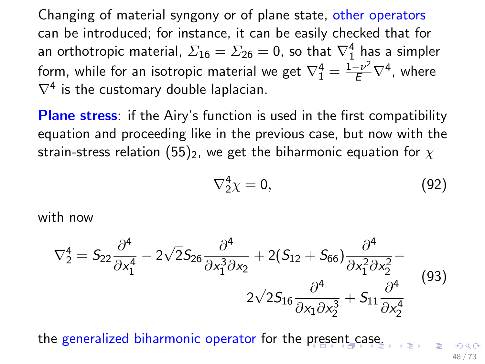<span id="page-47-0"></span>Changing of material syngony or of plane state, other operators can be introduced; for instance, it can be easily checked that for an orthotropic material,  $\varSigma_{16}=\varSigma_{26}=0$ , so that  $\nabla_1^4$  has a simpler form, while for an isotropic material we get  $\nabla_1^4 = \frac{1-\nu^2}{E}\nabla^4$ , where  $\nabla^4$  is the customary double laplacian.

**Plane stress:** if the Airy's function is used in the first compatibility equation and proceeding like in the previous case, but now with the strain-stress relation [\(55\)](#page-31-1)<sub>2</sub>, we get the biharmonic equation for  $\chi$ 

$$
\nabla_2^4 \chi = 0,\t\t(92)
$$

with now

$$
\nabla_2^4 = S_{22} \frac{\partial^4}{\partial x_1^4} - 2\sqrt{2} S_{26} \frac{\partial^4}{\partial x_1^3 \partial x_2} + 2(S_{12} + S_{66}) \frac{\partial^4}{\partial x_1^2 \partial x_2^2} - 2\sqrt{2} S_{16} \frac{\partial^4}{\partial x_1 \partial x_2^3} + S_{11} \frac{\partial^4}{\partial x_2^4}
$$
(93)

the generalized biharmonic operator for the [pre](#page-46-0)[se](#page-0-0)[n](#page-46-0)[t c](#page-47-0)[a](#page-48-0)se[.](#page-72-0)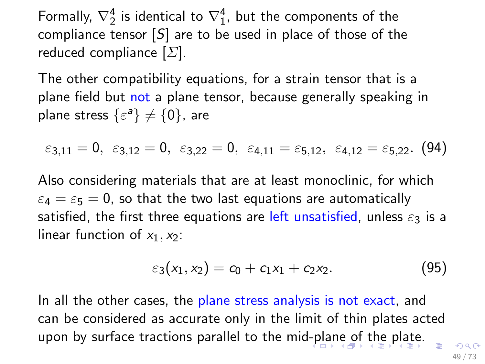<span id="page-48-0"></span>Formally,  $\nabla_2^4$  is identical to  $\nabla_1^4$ , but the components of the compliance tensor  $[S]$  are to be used in place of those of the reduced compliance  $[\Sigma]$ .

The other compatibility equations, for a strain tensor that is a plane field but not a plane tensor, because generally speaking in plane stress  $\{\varepsilon^{\mathsf{a}}\}\neq\{0\}$ , are

$$
\varepsilon_{3,11}=0, \ \ \varepsilon_{3,12}=0, \ \ \varepsilon_{3,22}=0, \ \ \varepsilon_{4,11}=\varepsilon_{5,12}, \ \ \varepsilon_{4,12}=\varepsilon_{5,22}. \ \ (94)
$$

Also considering materials that are at least monoclinic, for which  $\varepsilon_4 = \varepsilon_5 = 0$ , so that the two last equations are automatically satisfied, the first three equations are left unsatisfied, unless  $\varepsilon_3$  is a linear function of  $x_1, x_2$ :

$$
\varepsilon_3(x_1,x_2)=c_0+c_1x_1+c_2x_2. \hspace{1.5cm} (95)
$$

In all the other cases, the plane stress analysis is not exact, and can be considered as accurate only in the limit of thin plates acted upon by surface tractions parallel to the mid[-p](#page-47-0)l[an](#page-49-0)[e](#page-47-0) [o](#page-48-0)[f](#page-49-0) [th](#page-0-0)[e p](#page-72-0)[la](#page-0-0)[te.](#page-72-0)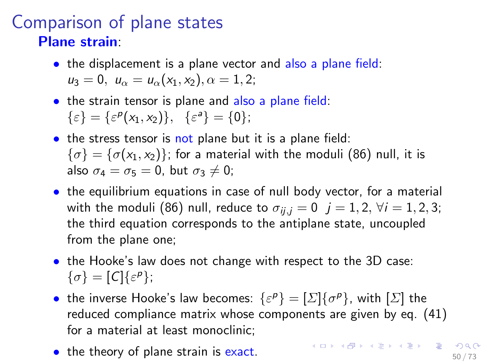#### <span id="page-49-0"></span>Comparison of plane states Plane strain:

- the displacement is a plane vector and also a plane field:  $u_3 = 0$ ,  $u_{\alpha} = u_{\alpha}(x_1, x_2)$ ,  $\alpha = 1, 2$ ;
- the strain tensor is plane and also a plane field:  $\{\varepsilon\} = \{\varepsilon^p(x_1, x_2)\}, \{\varepsilon^a\} = \{0\};$
- the stress tensor is not plane but it is a plane field:  $\{\sigma\} = \{\sigma(x_1, x_2)\}\$ ; for a material with the moduli [\(86\)](#page-43-0) null, it is also  $\sigma_4 = \sigma_5 = 0$ , but  $\sigma_3 \neq 0$ ;
- the equilibrium equations in case of null body vector, for a material with the moduli [\(86\)](#page-43-0) null, reduce to  $\sigma_{ii,j} = 0$   $j = 1, 2, \forall i = 1, 2, 3;$ the third equation corresponds to the antiplane state, uncoupled from the plane one;
- the Hooke's law does not change with respect to the 3D case:  $\{\sigma\} = [C]\{\varepsilon^p\};$
- the inverse Hooke's law becomes:  $\{\varepsilon^p\} = [\Sigma]\{\sigma^p\}$ , with  $[\Sigma]$  the reduced compliance matrix whose components are given by eq. [\(41\)](#page-24-0) for a material at least monoclinic;
- the theory of plane strain is exact.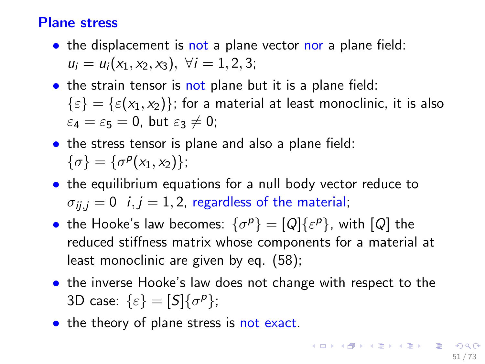#### Plane stress

- the displacement is not a plane vector nor a plane field:  $u_i = u_i(x_1, x_2, x_3), \ \forall i = 1, 2, 3;$
- the strain tensor is not plane but it is a plane field:  $\{\varepsilon\} = \{\varepsilon(x_1, x_2)\}\$ ; for a material at least monoclinic, it is also  $\varepsilon_4 = \varepsilon_5 = 0$ , but  $\varepsilon_3 \neq 0$ ;
- the stress tensor is plane and also a plane field:  $\{\sigma\} = \{\sigma^p(x_1, x_2)\};$
- the equilibrium equations for a null body vector reduce to  $\sigma_{ii,j} = 0$  i,  $j = 1, 2$ , regardless of the material;
- the Hooke's law becomes:  $\{\sigma^p\} = [Q]\{\varepsilon^p\}$ , with  $[Q]$  the reduced stiffness matrix whose components for a material at least monoclinic are given by eq. [\(58\)](#page-33-0);
- the inverse Hooke's law does not change with respect to the 3D case:  $\{\varepsilon\} = [S]\{\sigma^p\};$
- the theory of plane stress is not exact.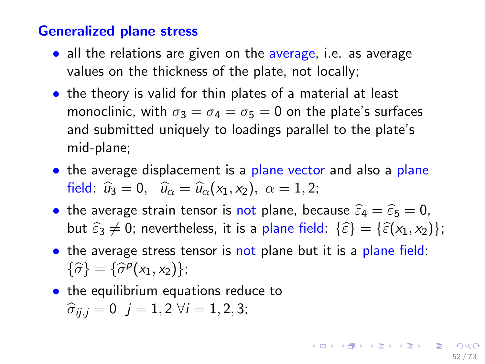#### Generalized plane stress

- all the relations are given on the average, i.e. as average values on the thickness of the plate, not locally;
- the theory is valid for thin plates of a material at least monoclinic, with  $\sigma_3 = \sigma_4 = \sigma_5 = 0$  on the plate's surfaces and submitted uniquely to loadings parallel to the plate's mid-plane;
- the average displacement is a plane vector and also a plane field:  $\hat{u}_3 = 0$ ,  $\hat{u}_\alpha = \hat{u}_\alpha(x_1, x_2), \ \alpha = 1, 2;$
- the average strain tensor is not plane, because  $\widehat{\varepsilon}_4 = \widehat{\varepsilon}_5 = 0$ , but  $\widehat{\epsilon}_3 \neq 0$ ; nevertheless, it is a plane field:  $\{\widehat{\epsilon}\} = {\{\widehat{\epsilon}(x_1, x_2)\}}$ ;
- the average stress tensor is not plane but it is a plane field:  $\{\widehat{\sigma}\} = \{\widehat{\sigma}^p(x_1, x_2)\};$
- the equilibrium equations reduce to

$$
\hat{\sigma}_{ij,j} = 0
$$
 j = 1,2  $\forall i = 1, 2, 3;$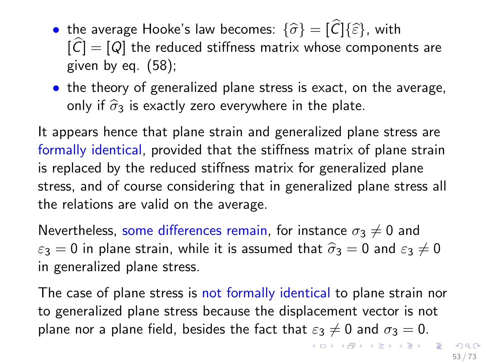- the average Hooke's law becomes:  $\{\widehat{\sigma}\} = [\widehat{C}]\{\widehat{\varepsilon}\}\,$ , with  $|\widehat{C}| = [Q]$  the reduced stiffness matrix whose components are given by eq.  $(58)$ ;
- the theory of generalized plane stress is exact, on the average, only if  $\hat{\sigma}_3$  is exactly zero everywhere in the plate.

It appears hence that plane strain and generalized plane stress are formally identical, provided that the stiffness matrix of plane strain is replaced by the reduced stiffness matrix for generalized plane stress, and of course considering that in generalized plane stress all the relations are valid on the average.

Nevertheless, some differences remain, for instance  $\sigma_3 \neq 0$  and  $\varepsilon_3 = 0$  in plane strain, while it is assumed that  $\hat{\sigma}_3 = 0$  and  $\varepsilon_3 \neq 0$ in generalized plane stress.

The case of plane stress is not formally identical to plane strain nor to generalized plane stress because the displacement vector is not plane nor a plane field, besides the fact that  $\varepsilon_3 \neq 0$  and  $\sigma_3 = 0$ .

KID KAP KID KID NI DAG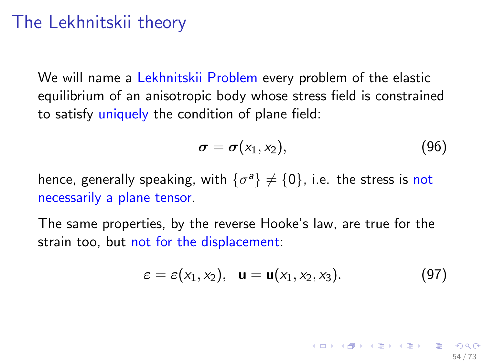## The Lekhnitskii theory

We will name a Lekhnitskii Problem every problem of the elastic equilibrium of an anisotropic body whose stress field is constrained to satisfy uniquely the condition of plane field:

$$
\boldsymbol{\sigma} = \boldsymbol{\sigma}(x_1, x_2), \tag{96}
$$

hence, generally speaking, with  $\{\sigma^{\mathsf{a}}\}\neq\{0\}$ , i.e. the stress is not necessarily a plane tensor.

The same properties, by the reverse Hooke's law, are true for the strain too, but not for the displacement:

$$
\varepsilon = \varepsilon(x_1, x_2), \quad \mathbf{u} = \mathbf{u}(x_1, x_2, x_3). \tag{97}
$$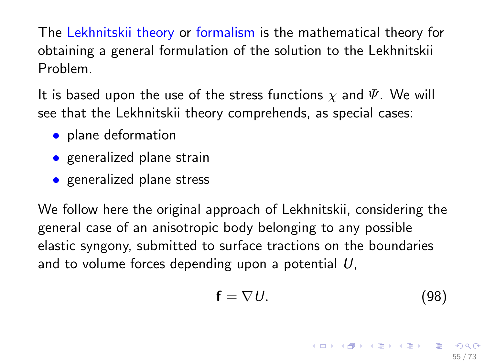<span id="page-54-0"></span>The Lekhnitskii theory or formalism is the mathematical theory for obtaining a general formulation of the solution to the Lekhnitskii Problem.

It is based upon the use of the stress functions  $\chi$  and  $\Psi$ . We will see that the Lekhnitskii theory comprehends, as special cases:

- plane deformation
- generalized plane strain
- generalized plane stress

We follow here the original approach of Lekhnitskii, considering the general case of an anisotropic body belonging to any possible elastic syngony, submitted to surface tractions on the boundaries and to volume forces depending upon a potential  $U$ ,

$$
\mathbf{f} = \nabla U. \tag{98}
$$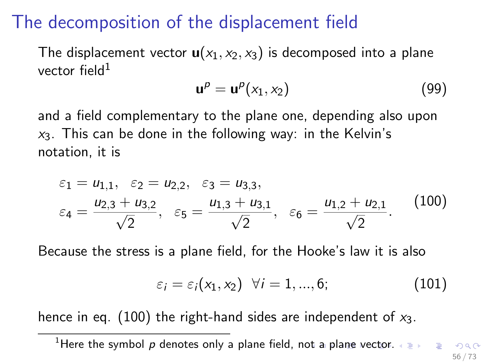### <span id="page-55-0"></span>The decomposition of the displacement field

The displacement vector  $u(x_1, x_2, x_3)$  is decomposed into a plane vector field $1$ 

<span id="page-55-2"></span>
$$
\mathbf{u}^p = \mathbf{u}^p(x_1, x_2) \tag{99}
$$

and a field complementary to the plane one, depending also upon  $x_3$ . This can be done in the following way: in the Kelvin's notation, it is

<span id="page-55-1"></span>
$$
\varepsilon_1 = u_{1,1}, \quad \varepsilon_2 = u_{2,2}, \quad \varepsilon_3 = u_{3,3}, \n\varepsilon_4 = \frac{u_{2,3} + u_{3,2}}{\sqrt{2}}, \quad \varepsilon_5 = \frac{u_{1,3} + u_{3,1}}{\sqrt{2}}, \quad \varepsilon_6 = \frac{u_{1,2} + u_{2,1}}{\sqrt{2}}.
$$
\n(100)

Because the stress is a plane field, for the Hooke's law it is also

<span id="page-55-3"></span>
$$
\varepsilon_i = \varepsilon_i(x_1, x_2) \quad \forall i = 1, ..., 6; \tag{101}
$$

hence in eq. [\(100\)](#page-55-1) the right-hand sides are independent of  $x_3$ .

<sup>&</sup>lt;sup>1</sup>Here the symbol p denotes only a plane field, n[ot a](#page-54-0) [pl](#page-56-0)[a](#page-54-0)[ne](#page-55-0) [v](#page-56-0)[ect](#page-0-0)[or.](#page-72-0)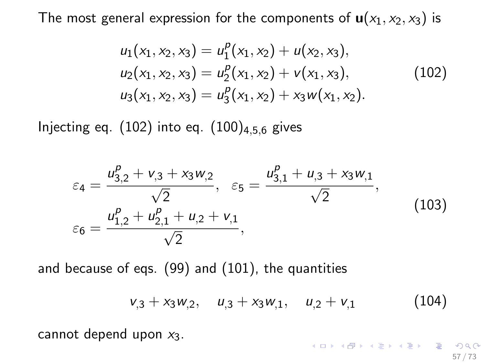<span id="page-56-0"></span>The most general expression for the components of  $u(x_1, x_2, x_3)$  is

$$
u_1(x_1, x_2, x_3) = u_1^p(x_1, x_2) + u(x_2, x_3),
$$
  
\n
$$
u_2(x_1, x_2, x_3) = u_2^p(x_1, x_2) + v(x_1, x_3),
$$
  
\n
$$
u_3(x_1, x_2, x_3) = u_3^p(x_1, x_2) + x_3 w(x_1, x_2).
$$
\n(102)

<span id="page-56-1"></span>Injecting eq.  $(102)$  into eq.  $(100)_{4,5,6}$  $(100)_{4,5,6}$  gives

$$
\varepsilon_4 = \frac{u_{3,2}^p + v_{,3} + x_3 w_{,2}}{\sqrt{2}}, \quad \varepsilon_5 = \frac{u_{3,1}^p + u_{,3} + x_3 w_{,1}}{\sqrt{2}},
$$
\n
$$
\varepsilon_6 = \frac{u_{1,2}^p + u_{2,1}^p + u_{,2} + v_{,1}}{\sqrt{2}},
$$
\n(103)

and because of eqs. [\(99\)](#page-55-2) and [\(101\)](#page-55-3), the quantities

<span id="page-56-2"></span>
$$
v_{,3} + x_3 w_{,2}, \quad u_{,3} + x_3 w_{,1}, \quad u_{,2} + v_{,1} \tag{104}
$$

cannot depend upon  $x_3$ .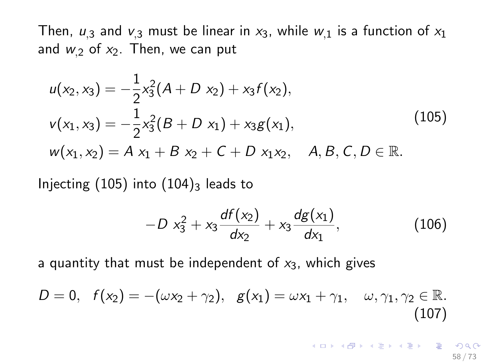Then,  $u_{13}$  and  $v_{13}$  must be linear in  $x_3$ , while  $w_{11}$  is a function of  $x_1$ and  $w_{2}$  of  $x_{2}$ . Then, we can put

<span id="page-57-0"></span>
$$
u(x_2, x_3) = -\frac{1}{2}x_3^2(A + D x_2) + x_3f(x_2),
$$
  
\n
$$
v(x_1, x_3) = -\frac{1}{2}x_3^2(B + D x_1) + x_3g(x_1),
$$
  
\n
$$
w(x_1, x_2) = A x_1 + B x_2 + C + D x_1x_2, \quad A, B, C, D \in \mathbb{R}.
$$
\n(105)

Injecting  $(105)$  into  $(104)_3$  $(104)_3$  leads to

$$
-D x_3^2 + x_3 \frac{df(x_2)}{dx_2} + x_3 \frac{dg(x_1)}{dx_1}, \qquad (106)
$$

a quantity that must be independent of  $x_3$ , which gives

$$
D = 0, f(x_2) = -(\omega x_2 + \gamma_2), g(x_1) = \omega x_1 + \gamma_1, \omega, \gamma_1, \gamma_2 \in \mathbb{R}.
$$
\n(107)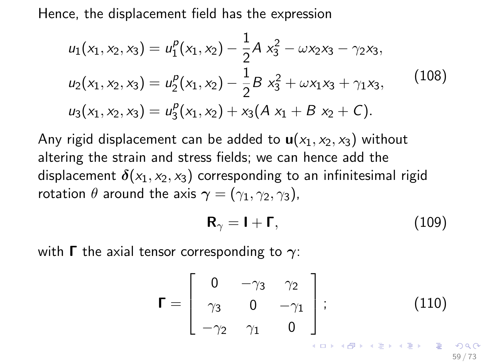<span id="page-58-0"></span>Hence, the displacement field has the expression

$$
u_1(x_1, x_2, x_3) = u_1^p(x_1, x_2) - \frac{1}{2}A x_3^2 - \omega x_2 x_3 - \gamma_2 x_3,
$$
  
\n
$$
u_2(x_1, x_2, x_3) = u_2^p(x_1, x_2) - \frac{1}{2}B x_3^2 + \omega x_1 x_3 + \gamma_1 x_3,
$$
\n
$$
u_3(x_1, x_2, x_3) = u_3^p(x_1, x_2) + x_3(A x_1 + B x_2 + C).
$$
\n(108)

<span id="page-58-1"></span>Any rigid displacement can be added to  $u(x_1, x_2, x_3)$  without altering the strain and stress fields; we can hence add the displacement  $\delta(x_1, x_2, x_3)$  corresponding to an infinitesimal rigid rotation  $\theta$  around the axis  $\gamma = (\gamma_1, \gamma_2, \gamma_3)$ ,

$$
\mathbf{R}_{\gamma} = \mathbf{I} + \mathbf{\Gamma},\tag{109}
$$

with **Γ** the axial tensor corresponding to  $\gamma$ :

$$
\mathbf{\Gamma} = \left[ \begin{array}{ccc} 0 & -\gamma_3 & \gamma_2 \\ \gamma_3 & 0 & -\gamma_1 \\ -\gamma_2 & \gamma_1 & 0 \end{array} \right]; \qquad (110)
$$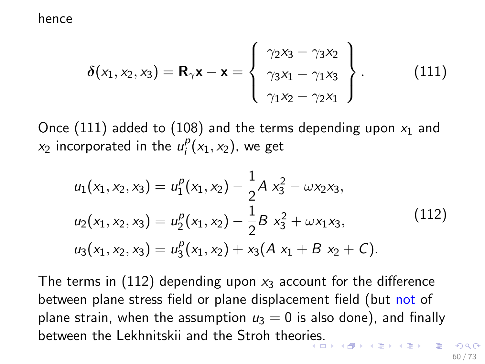#### hence

<span id="page-59-0"></span>
$$
\delta(x_1, x_2, x_3) = \mathbf{R}_{\gamma} \mathbf{x} - \mathbf{x} = \begin{Bmatrix} \gamma_2 x_3 - \gamma_3 x_2 \\ \gamma_3 x_1 - \gamma_1 x_3 \\ \gamma_1 x_2 - \gamma_2 x_1 \end{Bmatrix} .
$$
 (111)

Once [\(111\)](#page-59-0) added to [\(108\)](#page-58-1) and the terms depending upon  $x_1$  and  $x_2$  incorporated in the  $u_i^p$  $i_{i}^{P}(x_1, x_2)$ , we get

$$
u_1(x_1, x_2, x_3) = u_1^p(x_1, x_2) - \frac{1}{2}A x_3^2 - \omega x_2 x_3,
$$
  
\n
$$
u_2(x_1, x_2, x_3) = u_2^p(x_1, x_2) - \frac{1}{2}B x_3^2 + \omega x_1 x_3,
$$
  
\n
$$
u_3(x_1, x_2, x_3) = u_3^p(x_1, x_2) + x_3(A x_1 + B x_2 + C).
$$
\n(112)

<span id="page-59-1"></span>The terms in [\(112\)](#page-59-1) depending upon  $x_3$  account for the difference between plane stress field or plane displacement field (but not of plane strain, when the assumption  $u_3 = 0$  is also done), and finally between the Lekhnitskii and the Stroh theor[ies](#page-58-0).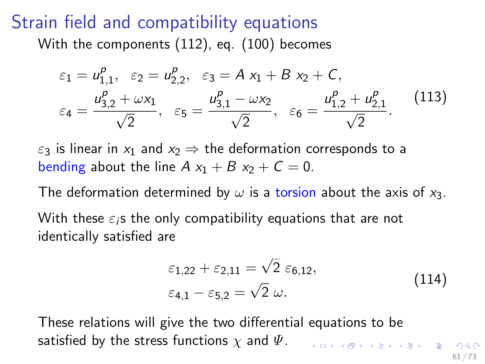### Strain field and compatibility equations

With the components [\(112\)](#page-59-1), eq. [\(100\)](#page-55-1) becomes

$$
\varepsilon_1 = u_{1,1}^p, \quad \varepsilon_2 = u_{2,2}^p, \quad \varepsilon_3 = A x_1 + B x_2 + C,
$$
\n
$$
\varepsilon_4 = \frac{u_{3,2}^p + \omega x_1}{\sqrt{2}}, \quad \varepsilon_5 = \frac{u_{3,1}^p - \omega x_2}{\sqrt{2}}, \quad \varepsilon_6 = \frac{u_{1,2}^p + u_{2,1}^p}{\sqrt{2}}.
$$
\n(113)

<span id="page-60-1"></span> $\varepsilon_3$  is linear in  $x_1$  and  $x_2 \Rightarrow$  the deformation corresponds to a bending about the line  $A x_1 + B x_2 + C = 0$ .

The deformation determined by  $\omega$  is a torsion about the axis of  $x_3$ . With these  $\varepsilon_i$ s the only compatibility equations that are not identically satisfied are

<span id="page-60-0"></span>
$$
\varepsilon_{1,22} + \varepsilon_{2,11} = \sqrt{2} \varepsilon_{6,12},
$$
  
\n
$$
\varepsilon_{4,1} - \varepsilon_{5,2} = \sqrt{2} \omega.
$$
\n(114)

These relations will give the two differential equations to be satisfied by the stress functions  $\chi$  and  $\Psi$ .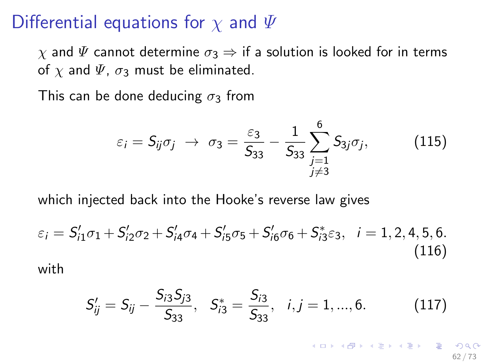#### Differential equations for  $\chi$  and  $\Psi$

 $\chi$  and  $\Psi$  cannot determine  $\sigma_3 \Rightarrow$  if a solution is looked for in terms of  $\chi$  and  $\Psi$ ,  $\sigma_3$  must be eliminated.

This can be done deducing  $\sigma_3$  from

$$
\varepsilon_i = S_{ij}\sigma_j \rightarrow \sigma_3 = \frac{\varepsilon_3}{S_{33}} - \frac{1}{S_{33}} \sum_{\substack{j=1 \ j \neq 3}}^6 S_{3j}\sigma_j, \qquad (115)
$$

which injected back into the Hooke's reverse law gives

<span id="page-61-1"></span>
$$
\varepsilon_{i} = S'_{i1}\sigma_{1} + S'_{i2}\sigma_{2} + S'_{i4}\sigma_{4} + S'_{i5}\sigma_{5} + S'_{i6}\sigma_{6} + S^{*}_{i3}\varepsilon_{3}, \quad i = 1, 2, 4, 5, 6.
$$
\n(116)

with

<span id="page-61-0"></span>
$$
S'_{ij} = S_{ij} - \frac{S_{i3}S_{j3}}{S_{33}}, \quad S^*_{i3} = \frac{S_{i3}}{S_{33}}, \quad i, j = 1, ..., 6.
$$
 (117)

K ロ X K @ X K 할 X K 할 X ( 할 62 / 73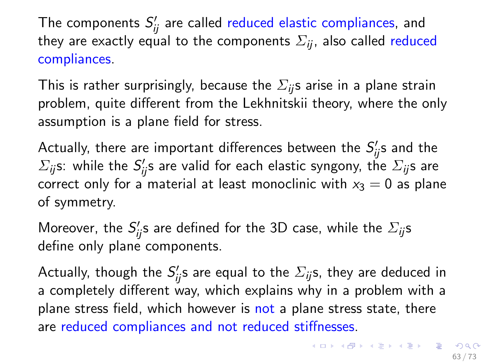The components  $S_{ij}^{\prime}$  are called reduced elastic compliances, and they are exactly equal to the components  $\Sigma_{ii}$ , also called reduced compliances.

This is rather surprisingly, because the  $\Sigma_{ii}$ s arise in a plane strain problem, quite different from the Lekhnitskii theory, where the only assumption is a plane field for stress.

Actually, there are important differences between the  $S_{ij}^\prime$ s and the  $\Sigma_{ij}$ s: while the  $S_{ij}'$ s are valid for each elastic syngony, the  $\Sigma_{ij}$ s are correct only for a material at least monoclinic with  $x_3 = 0$  as plane of symmetry.

Moreover, the  $S_{ij}'$ s are defined for the 3D case, while the  $\Sigma_{ij}$ s define only plane components.

Actually, though the  $S_{ij}'$ s are equal to the  $\Sigma_{ij}$ s, they are deduced in a completely different way, which explains why in a problem with a plane stress field, which however is not a plane stress state, there are reduced compliances and not reduced stiffnesses.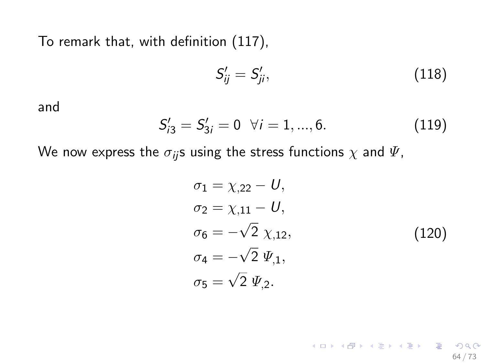To remark that, with definition [\(117\)](#page-61-0),

$$
S'_{ij} = S'_{ji},\tag{118}
$$

and

$$
S'_{i3} = S'_{3i} = 0 \quad \forall i = 1, ..., 6. \tag{119}
$$

We now express the  $\sigma_{ij}$ s using the stress functions  $\chi$  and  $\Psi$ ,

$$
\sigma_1 = \chi_{,22} - U,
$$
  
\n
$$
\sigma_2 = \chi_{,11} - U,
$$
  
\n
$$
\sigma_6 = -\sqrt{2} \chi_{,12},
$$
  
\n
$$
\sigma_4 = -\sqrt{2} \Psi_{,1},
$$
  
\n
$$
\sigma_5 = \sqrt{2} \Psi_{,2}.
$$
\n(120)

64 / 73

K ロ > K @ > K 할 > K 할 > 1 할 : X 9 Q Q\*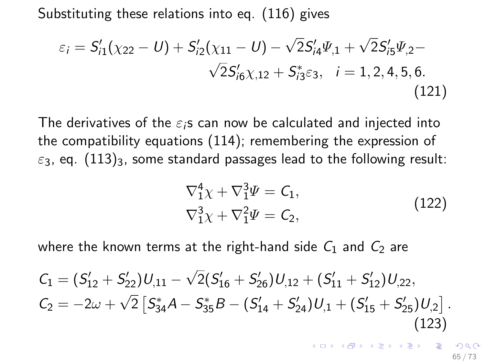Substituting these relations into eq. [\(116\)](#page-61-1) gives

$$
\varepsilon_{i} = S'_{i1}(\chi_{22} - U) + S'_{i2}(\chi_{11} - U) - \sqrt{2}S'_{i4}\Psi_{,1} + \sqrt{2}S'_{i5}\Psi_{,2} - \sqrt{2}S'_{i6}\chi_{,12} + S^{*}_{i3}\varepsilon_{3}, \quad i = 1, 2, 4, 5, 6.
$$
\n(121)

The derivatives of the  $\varepsilon_i$ s can now be calculated and injected into the compatibility equations [\(114\)](#page-60-0); remembering the expression of  $\varepsilon_3$ , eq. [\(113\)](#page-60-1)<sub>3</sub>, some standard passages lead to the following result:

$$
\nabla_1^4 \chi + \nabla_1^3 \Psi = C_1, \n\nabla_1^3 \chi + \nabla_1^2 \Psi = C_2,
$$
\n(122)

<span id="page-64-0"></span>where the known terms at the right-hand side  $C_1$  and  $C_2$  are

<span id="page-64-1"></span>
$$
C_1 = (S'_{12} + S'_{22})U_{,11} - \sqrt{2}(S'_{16} + S'_{26})U_{,12} + (S'_{11} + S'_{12})U_{,22},
$$
  
\n
$$
C_2 = -2\omega + \sqrt{2}\left[S_{34}^*A - S_{35}^*B - (S'_{14} + S'_{24})U_{,1} + (S'_{15} + S'_{25})U_{,2}\right].
$$
\n(123)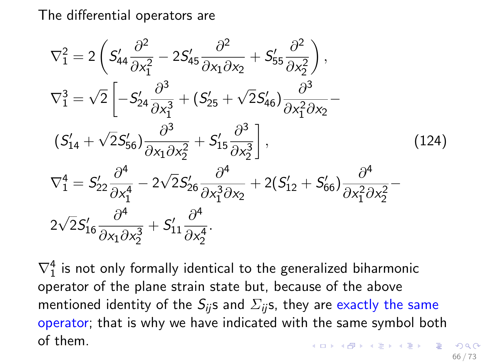The differential operators are

$$
\nabla_1^2 = 2\left(S'_{44}\frac{\partial^2}{\partial x_1^2} - 2S'_{45}\frac{\partial^2}{\partial x_1 \partial x_2} + S'_{55}\frac{\partial^2}{\partial x_2^2}\right),
$$
  
\n
$$
\nabla_1^3 = \sqrt{2}\left[-S'_{24}\frac{\partial^3}{\partial x_1^3} + (S'_{25} + \sqrt{2}S'_{46})\frac{\partial^3}{\partial x_1^2 \partial x_2}\right]
$$
  
\n
$$
(S'_{14} + \sqrt{2}S'_{56})\frac{\partial^3}{\partial x_1 \partial x_2^2} + S'_{15}\frac{\partial^3}{\partial x_2^3}\right],
$$
  
\n
$$
\nabla_1^4 = S'_{22}\frac{\partial^4}{\partial x_1^4} - 2\sqrt{2}S'_{26}\frac{\partial^4}{\partial x_1^3 \partial x_2} + 2(S'_{12} + S'_{66})\frac{\partial^4}{\partial x_1^2 \partial x_2^2} - 2\sqrt{2}S'_{16}\frac{\partial^4}{\partial x_1 \partial x_2^3} + S'_{11}\frac{\partial^4}{\partial x_2^4}.
$$
  
\n(124)

 $\nabla_1^4$  is not only formally identical to the generalized biharmonic operator of the plane strain state but, because of the above mentioned identity of the  $S_{ii}$ s and  $\Sigma_{ii}$ s, they are exactly the same operator; that is why we have indicated with the same symbol both of them.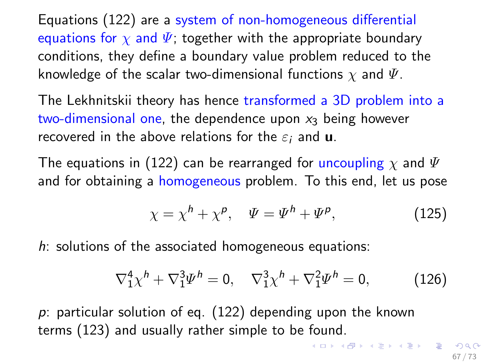Equations [\(122\)](#page-64-0) are a system of non-homogeneous differential equations for  $\chi$  and  $\Psi$ ; together with the appropriate boundary conditions, they define a boundary value problem reduced to the knowledge of the scalar two-dimensional functions  $\chi$  and  $\Psi$ .

The Lekhnitskii theory has hence transformed a 3D problem into a two-dimensional one, the dependence upon  $x_3$  being however recovered in the above relations for the  $\varepsilon_i$  and **u**.

The equations in [\(122\)](#page-64-0) can be rearranged for uncoupling  $\chi$  and  $\Psi$ and for obtaining a homogeneous problem. To this end, let us pose

$$
\chi = \chi^h + \chi^p, \quad \Psi = \Psi^h + \Psi^p,\tag{125}
$$

 $h$ : solutions of the associated homogeneous equations:

<span id="page-66-0"></span>
$$
\nabla_1^4 \chi^h + \nabla_1^3 \Psi^h = 0, \quad \nabla_1^3 \chi^h + \nabla_1^2 \Psi^h = 0, \tag{126}
$$

p: particular solution of eq. [\(122\)](#page-64-0) depending upon the known terms [\(123\)](#page-64-1) and usually rather simple to be found.

K ロ X K @ X K 할 X K 할 X ( 할 )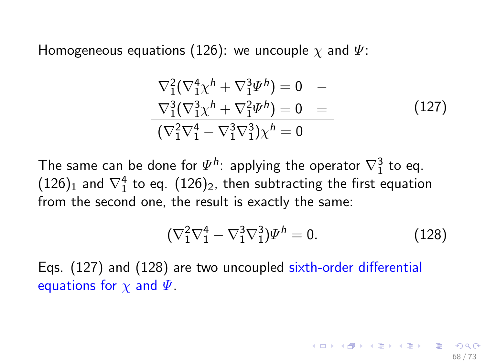Homogeneous equations [\(126\)](#page-66-0): we uncouple  $\chi$  and  $\Psi$ :

<span id="page-67-0"></span>
$$
\nabla_1^2 (\nabla_1^4 \chi^h + \nabla_1^3 \Psi^h) = 0 -
$$
  
\n
$$
\nabla_1^3 (\nabla_1^3 \chi^h + \nabla_1^2 \Psi^h) = 0 =
$$
  
\n
$$
(\nabla_1^2 \nabla_1^4 - \nabla_1^3 \nabla_1^3) \chi^h = 0
$$
\n(127)

The same can be done for  $\Psi^h$ : applying the operator  $\nabla^3_1$  to eq.  $(126)_1$  $(126)_1$  and  $\nabla_1^4$  to eq.  $(126)_2$ , then subtracting the first equation from the second one, the result is exactly the same:

<span id="page-67-1"></span>
$$
(\nabla_1^2 \nabla_1^4 - \nabla_1^3 \nabla_1^3) \Psi^h = 0.
$$
 (128)

68 / 73

イロメ イ団メ イミメ イモメー 差

Eqs. [\(127\)](#page-67-0) and [\(128\)](#page-67-1) are two uncoupled sixth-order differential equations for  $\chi$  and  $\Psi$ .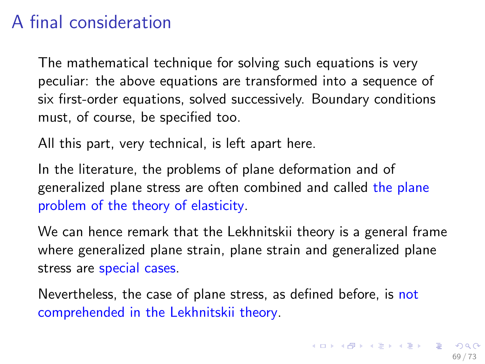## A final consideration

The mathematical technique for solving such equations is very peculiar: the above equations are transformed into a sequence of six first-order equations, solved successively. Boundary conditions must, of course, be specified too.

All this part, very technical, is left apart here.

In the literature, the problems of plane deformation and of generalized plane stress are often combined and called the plane problem of the theory of elasticity.

We can hence remark that the Lekhnitskii theory is a general frame where generalized plane strain, plane strain and generalized plane stress are special cases.

Nevertheless, the case of plane stress, as defined before, is not comprehended in the Lekhnitskii theory.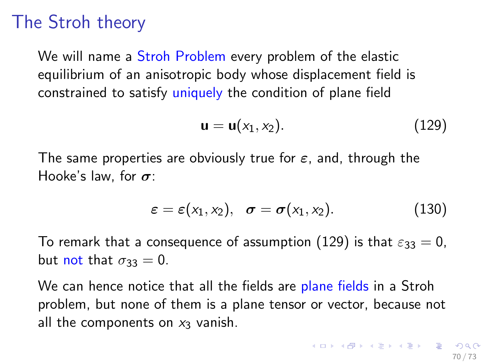# The Stroh theory

We will name a Stroh Problem every problem of the elastic equilibrium of an anisotropic body whose displacement field is constrained to satisfy uniquely the condition of plane field

<span id="page-69-0"></span>
$$
\mathbf{u} = \mathbf{u}(x_1, x_2). \tag{129}
$$

The same properties are obviously true for  $\varepsilon$ , and, through the Hooke's law, for  $\sigma$ :

$$
\varepsilon = \varepsilon(x_1, x_2), \quad \sigma = \sigma(x_1, x_2). \tag{130}
$$

To remark that a consequence of assumption [\(129\)](#page-69-0) is that  $\varepsilon_{33} = 0$ , but not that  $\sigma_{33} = 0$ .

We can hence notice that all the fields are plane fields in a Stroh problem, but none of them is a plane tensor or vector, because not all the components on  $x_3$  vanish.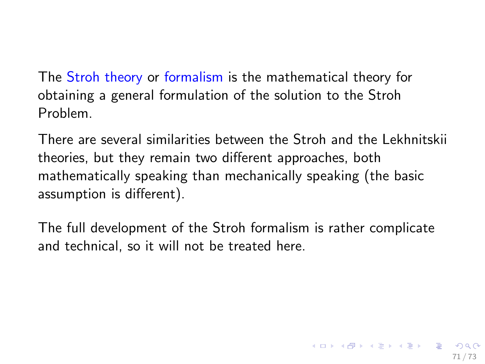The Stroh theory or formalism is the mathematical theory for obtaining a general formulation of the solution to the Stroh Problem.

There are several similarities between the Stroh and the Lekhnitskii theories, but they remain two different approaches, both mathematically speaking than mechanically speaking (the basic assumption is different).

The full development of the Stroh formalism is rather complicate and technical, so it will not be treated here.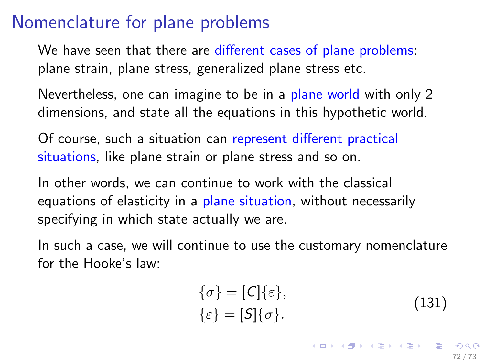#### Nomenclature for plane problems

We have seen that there are different cases of plane problems: plane strain, plane stress, generalized plane stress etc.

Nevertheless, one can imagine to be in a plane world with only 2 dimensions, and state all the equations in this hypothetic world.

Of course, such a situation can represent different practical situations, like plane strain or plane stress and so on.

In other words, we can continue to work with the classical equations of elasticity in a plane situation, without necessarily specifying in which state actually we are.

In such a case, we will continue to use the customary nomenclature for the Hooke's law:

$$
\begin{aligned} \{\sigma\} &= [C] \{\varepsilon\}, \\ \{\varepsilon\} &= [S] \{\sigma\}. \end{aligned} \tag{131}
$$

K ロ ▶ K @ ▶ K 글 ▶ K 글 ▶ │ 글 │ ◆ Q Q <mark>Q</mark> 72 / 73